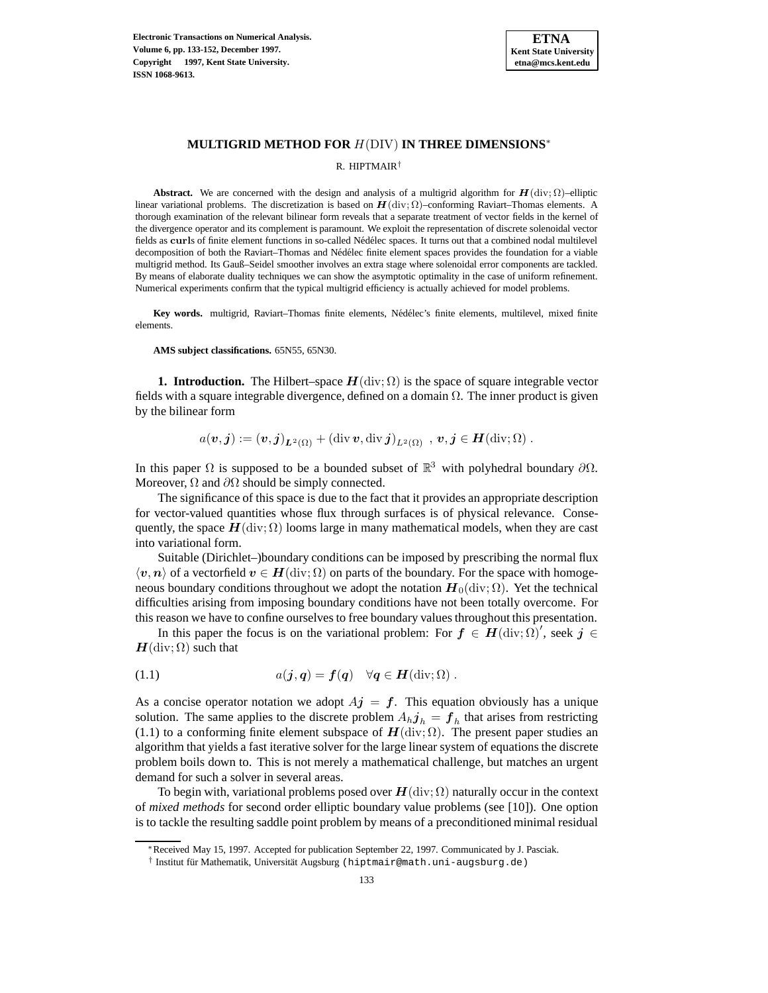

# **MULTIGRID METHOD FOR** H(DIV) **IN THREE DIMENSIONS**<sup>∗</sup>

R. HIPTMAIR†

**Abstract.** We are concerned with the design and analysis of a multigrid algorithm for  $H(\text{div}; \Omega)$ –elliptic linear variational problems. The discretization is based on  $H(\text{div}; \Omega)$ –conforming Raviart–Thomas elements. A thorough examination of the relevant bilinear form reveals that a separate treatment of vector fields in the kernel of the divergence operator and its complement is paramount. We exploit the representation of discrete solenoidal vector fields as curls of finite element functions in so-called Nédélec spaces. It turns out that a combined nodal multilevel decomposition of both the Raviart–Thomas and Nédélec finite element spaces provides the foundation for a viable multigrid method. Its Gauß–Seidel smoother involves an extra stage where solenoidal error components are tackled. By means of elaborate duality techniques we can show the asymptotic optimality in the case of uniform refinement. Numerical experiments confirm that the typical multigrid efficiency is actually achieved for model problems.

Key words. multigrid, Raviart–Thomas finite elements, Nédélec's finite elements, multilevel, mixed finite elements.

**AMS subject classifications.** 65N55, 65N30.

**1. Introduction.** The Hilbert–space  $H(\text{div}; \Omega)$  is the space of square integrable vector fields with a square integrable divergence, defined on a domain  $\Omega$ . The inner product is given by the bilinear form

$$
a(\boldsymbol{v},\boldsymbol{j}):=(\boldsymbol{v},\boldsymbol{j})_{\boldsymbol{L}^2(\Omega)}+(\mathop{\rm div}\boldsymbol{v},\mathop{\rm div}\boldsymbol{j})_{L^2(\Omega)}\,\,,\,\boldsymbol{v},\boldsymbol{j}\in\boldsymbol{H}(\mathop{\rm div}\nolimits;\Omega)\;.
$$

In this paper  $\Omega$  is supposed to be a bounded subset of  $\mathbb{R}^3$  with polyhedral boundary  $\partial\Omega$ . Moreover,  $\Omega$  and  $\partial\Omega$  should be simply connected.

The significance of this space is due to the fact that it provides an appropriate description for vector-valued quantities whose flux through surfaces is of physical relevance. Consequently, the space  $H(\text{div}; \Omega)$  looms large in many mathematical models, when they are cast into variational form.

Suitable (Dirichlet–)boundary conditions can be imposed by prescribing the normal flux  $\langle v, n \rangle$  of a vectorfield  $v \in H(\text{div}; \Omega)$  on parts of the boundary. For the space with homogeneous boundary conditions throughout we adopt the notation  $H_0(\text{div}; \Omega)$ . Yet the technical difficulties arising from imposing boundary conditions have not been totally overcome. For this reason we have to confine ourselves to free boundary values throughout this presentation.

In this paper the focus is on the variational problem: For  $f \in H(\text{div}; \Omega)'$ , seek  $j \in$  $H$ (div;  $\Omega$ ) such that

(1.1) 
$$
a(j,q) = f(q) \quad \forall q \in H(\text{div};\Omega).
$$

As a concise operator notation we adopt  $Aj = f$ . This equation obviously has a unique solution. The same applies to the discrete problem  $A_h j_h = f_h$  that arises from restricting (1.1) to a conforming finite element subspace of  $H(\text{div}; \Omega)$ . The present paper studies an algorithm that yields a fast iterative solver for the large linear system of equations the discrete problem boils down to. This is not merely a mathematical challenge, but matches an urgent demand for such a solver in several areas.

To begin with, variational problems posed over  $H(\text{div}; \Omega)$  naturally occur in the context of *mixed methods* for second order elliptic boundary value problems (see [10]). One option is to tackle the resulting saddle point problem by means of a preconditioned minimal residual

<sup>∗</sup>Received May 15, 1997. Accepted for publication September 22, 1997. Communicated by J. Pasciak.

<sup>&</sup>lt;sup>†</sup> Institut für Mathematik, Universität Augsburg (hiptmair@math.uni-augsburg.de)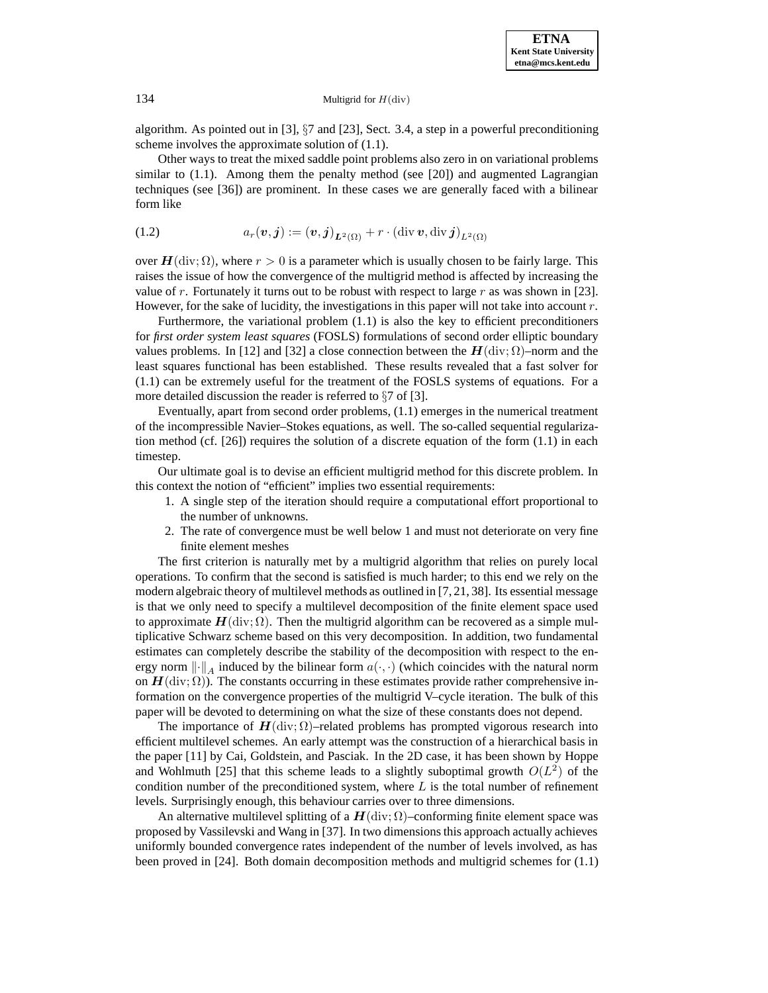algorithm. As pointed out in [3],  $\S7$  and [23], Sect. 3.4, a step in a powerful preconditioning scheme involves the approximate solution of (1.1).

Other ways to treat the mixed saddle point problems also zero in on variational problems similar to  $(1.1)$ . Among them the penalty method (see [20]) and augmented Lagrangian techniques (see [36]) are prominent. In these cases we are generally faced with a bilinear form like

(1.2) 
$$
a_r(\mathbf{v},\mathbf{j}) := (\mathbf{v},\mathbf{j})_{L^2(\Omega)} + r \cdot (\text{div }\mathbf{v},\text{div }\mathbf{j})_{L^2(\Omega)}
$$

over  $H(\text{div}; \Omega)$ , where  $r > 0$  is a parameter which is usually chosen to be fairly large. This raises the issue of how the convergence of the multigrid method is affected by increasing the value of r. Fortunately it turns out to be robust with respect to large r as was shown in [23]. However, for the sake of lucidity, the investigations in this paper will not take into account r.

Furthermore, the variational problem (1.1) is also the key to efficient preconditioners for *first order system least squares* (FOSLS) formulations of second order elliptic boundary values problems. In [12] and [32] a close connection between the  $H(\text{div}; \Omega)$ –norm and the least squares functional has been established. These results revealed that a fast solver for (1.1) can be extremely useful for the treatment of the FOSLS systems of equations. For a more detailed discussion the reader is referred to  $\S7$  of [3].

Eventually, apart from second order problems, (1.1) emerges in the numerical treatment of the incompressible Navier–Stokes equations, as well. The so-called sequential regularization method (cf.  $[26]$ ) requires the solution of a discrete equation of the form  $(1.1)$  in each timestep.

Our ultimate goal is to devise an efficient multigrid method for this discrete problem. In this context the notion of "efficient" implies two essential requirements:

- 1. A single step of the iteration should require a computational effort proportional to the number of unknowns.
- 2. The rate of convergence must be well below 1 and must not deteriorate on very fine finite element meshes

The first criterion is naturally met by a multigrid algorithm that relies on purely local operations. To confirm that the second is satisfied is much harder; to this end we rely on the modern algebraic theory of multilevel methods as outlined in [7, 21, 38]. Its essential message is that we only need to specify a multilevel decomposition of the finite element space used to approximate  $H(\text{div}; \Omega)$ . Then the multigrid algorithm can be recovered as a simple multiplicative Schwarz scheme based on this very decomposition. In addition, two fundamental estimates can completely describe the stability of the decomposition with respect to the energy norm  $\lVert \cdot \rVert_A$  induced by the bilinear form  $a(\cdot, \cdot)$  (which coincides with the natural norm on  $H(\text{div}; \Omega)$ ). The constants occurring in these estimates provide rather comprehensive information on the convergence properties of the multigrid V–cycle iteration. The bulk of this paper will be devoted to determining on what the size of these constants does not depend.

The importance of  $H(\text{div}; \Omega)$ –related problems has prompted vigorous research into efficient multilevel schemes. An early attempt was the construction of a hierarchical basis in the paper [11] by Cai, Goldstein, and Pasciak. In the 2D case, it has been shown by Hoppe and Wohlmuth [25] that this scheme leads to a slightly suboptimal growth  $O(L^2)$  of the condition number of the preconditioned system, where  $L$  is the total number of refinement levels. Surprisingly enough, this behaviour carries over to three dimensions.

An alternative multilevel splitting of a  $H$ (div;  $\Omega$ )–conforming finite element space was proposed by Vassilevski and Wang in [37]. In two dimensions this approach actually achieves uniformly bounded convergence rates independent of the number of levels involved, as has been proved in [24]. Both domain decomposition methods and multigrid schemes for (1.1)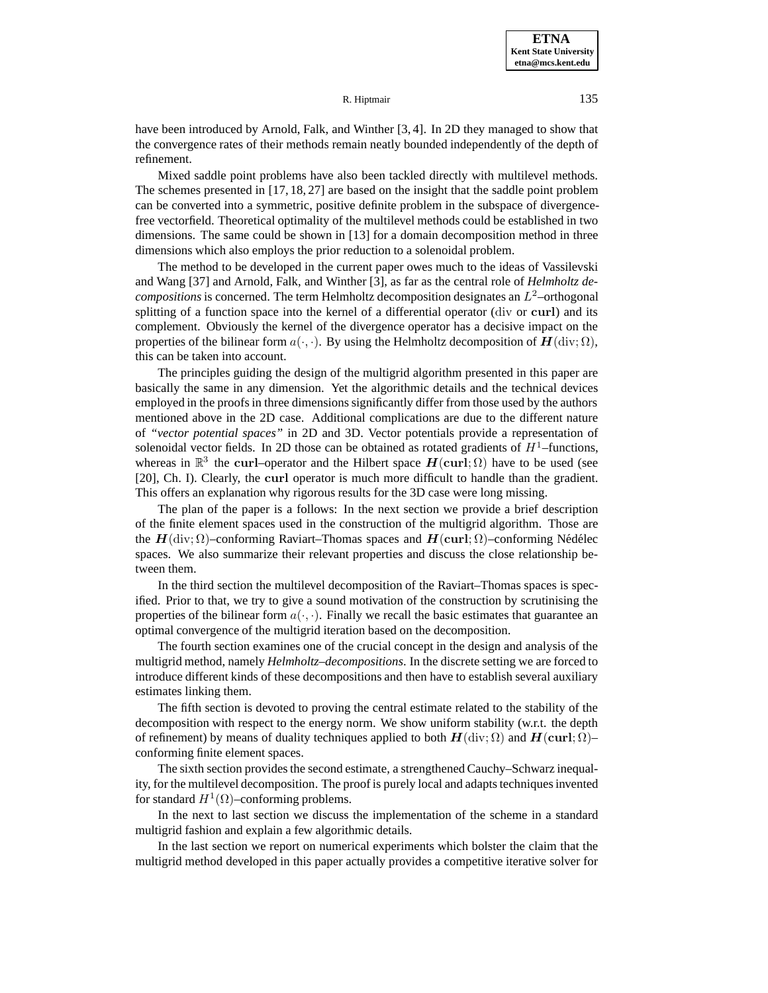Mixed saddle point problems have also been tackled directly with multilevel methods. The schemes presented in [17, 18, 27] are based on the insight that the saddle point problem can be converted into a symmetric, positive definite problem in the subspace of divergencefree vectorfield. Theoretical optimality of the multilevel methods could be established in two dimensions. The same could be shown in [13] for a domain decomposition method in three dimensions which also employs the prior reduction to a solenoidal problem.

The method to be developed in the current paper owes much to the ideas of Vassilevski and Wang [37] and Arnold, Falk, and Winther [3], as far as the central role of *Helmholtz decompositions* is concerned. The term Helmholtz decomposition designates an  $L^2$ –orthogonal splitting of a function space into the kernel of a differential operator (div or **curl**) and its complement. Obviously the kernel of the divergence operator has a decisive impact on the properties of the bilinear form  $a(\cdot, \cdot)$ . By using the Helmholtz decomposition of  $H(\text{div}; \Omega)$ , this can be taken into account.

The principles guiding the design of the multigrid algorithm presented in this paper are basically the same in any dimension. Yet the algorithmic details and the technical devices employed in the proofs in three dimensions significantly differ from those used by the authors mentioned above in the 2D case. Additional complications are due to the different nature of *"vector potential spaces"* in 2D and 3D. Vector potentials provide a representation of solenoidal vector fields. In 2D those can be obtained as rotated gradients of  $H^1$ –functions, whereas in  $\mathbb{R}^3$  the **curl–operator** and the Hilbert space  $H(\text{curl}; \Omega)$  have to be used (see [20], Ch. I). Clearly, the **curl** operator is much more difficult to handle than the gradient. This offers an explanation why rigorous results for the 3D case were long missing.

The plan of the paper is a follows: In the next section we provide a brief description of the finite element spaces used in the construction of the multigrid algorithm. Those are the  $H(\text{div}; \Omega)$ –conforming Raviart–Thomas spaces and  $H(\text{curl}; \Omega)$ –conforming Nédélec spaces. We also summarize their relevant properties and discuss the close relationship between them.

In the third section the multilevel decomposition of the Raviart–Thomas spaces is specified. Prior to that, we try to give a sound motivation of the construction by scrutinising the properties of the bilinear form  $a(\cdot, \cdot)$ . Finally we recall the basic estimates that guarantee an optimal convergence of the multigrid iteration based on the decomposition.

The fourth section examines one of the crucial concept in the design and analysis of the multigrid method, namely *Helmholtz–decompositions*. In the discrete setting we are forced to introduce different kinds of these decompositions and then have to establish several auxiliary estimates linking them.

The fifth section is devoted to proving the central estimate related to the stability of the decomposition with respect to the energy norm. We show uniform stability (w.r.t. the depth of refinement) by means of duality techniques applied to both  $H(\text{div}; \Omega)$  and  $H(\text{curl}; \Omega)$ – conforming finite element spaces.

The sixth section provides the second estimate, a strengthened Cauchy–Schwarz inequality, for the multilevel decomposition. The proof is purely local and adapts techniques invented for standard  $H^1(\Omega)$ –conforming problems.

In the next to last section we discuss the implementation of the scheme in a standard multigrid fashion and explain a few algorithmic details.

In the last section we report on numerical experiments which bolster the claim that the multigrid method developed in this paper actually provides a competitive iterative solver for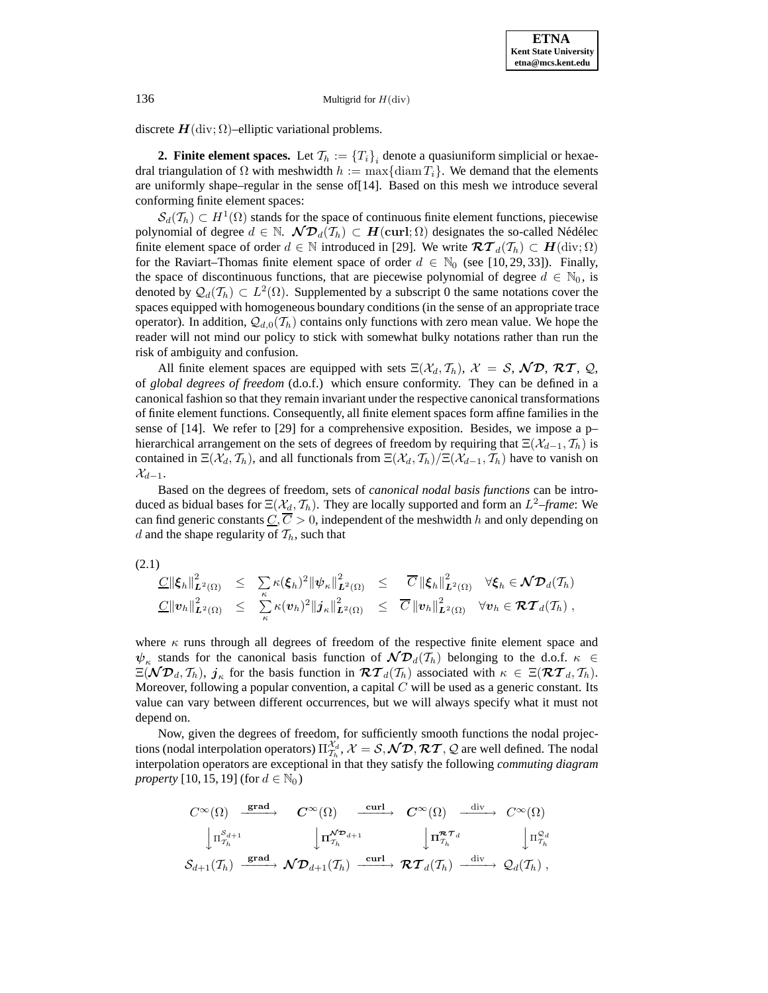discrete  $H$ (div;  $\Omega$ )–elliptic variational problems.

**2. Finite element spaces.** Let  $\mathcal{T}_h := \{T_i\}_i$  denote a quasiuniform simplicial or hexaedral triangulation of  $\Omega$  with meshwidth  $h := \max\{\text{diam } T_i\}$ . We demand that the elements are uniformly shape–regular in the sense of[14]. Based on this mesh we introduce several conforming finite element spaces:

 $\mathcal{S}_d(\mathcal{T}_h) \subset H^1(\Omega)$  stands for the space of continuous finite element functions, piecewise polynomial of degree  $d \in \mathbb{N}$ .  $\mathcal{ND}_d(\mathcal{T}_h) \subset \mathbf{H}(\text{curl}; \Omega)$  designates the so-called Nédélec finite element space of order  $d \in \mathbb{N}$  introduced in [29]. We write  $\mathcal{RT}_d(\mathcal{T}_h) \subset H(\text{div}; \Omega)$ for the Raviart–Thomas finite element space of order  $d \in \mathbb{N}_0$  (see [10, 29, 33]). Finally, the space of discontinuous functions, that are piecewise polynomial of degree  $d \in \mathbb{N}_0$ , is denoted by  $\mathcal{Q}_d(\mathcal{T}_h) \subset L^2(\Omega)$ . Supplemented by a subscript 0 the same notations cover the spaces equipped with homogeneous boundary conditions (in the sense of an appropriate trace operator). In addition,  $\mathcal{Q}_{d,0}(\mathcal{T}_h)$  contains only functions with zero mean value. We hope the reader will not mind our policy to stick with somewhat bulky notations rather than run the risk of ambiguity and confusion.

All finite element spaces are equipped with sets  $\Xi(\mathcal{X}_d, \mathcal{T}_h)$ ,  $\mathcal{X} = \mathcal{S}$ ,  $\mathcal{ND}$ ,  $\mathcal{RT}$ ,  $\mathcal{Q}$ , of *global degrees of freedom* (d.o.f.) which ensure conformity. They can be defined in a canonical fashion so that they remain invariant under the respective canonical transformations of finite element functions. Consequently, all finite element spaces form affine families in the sense of  $[14]$ . We refer to  $[29]$  for a comprehensive exposition. Besides, we impose a p– hierarchical arrangement on the sets of degrees of freedom by requiring that  $\Xi(\mathcal{X}_{d-1}, \mathcal{T}_h)$  is contained in  $\Xi(\mathcal{X}_d, \mathcal{T}_h)$ , and all functionals from  $\Xi(\mathcal{X}_d, \mathcal{T}_h)/\Xi(\mathcal{X}_{d-1}, \mathcal{T}_h)$  have to vanish on  $\mathcal{X}_{d-1}.$ 

Based on the degrees of freedom, sets of *canonical nodal basis functions* can be introduced as bidual bases for  $\Xi(\mathcal{X}_d, \mathcal{T}_h)$ . They are locally supported and form an  $L^2$ -frame: We can find generic constants  $C, \overline{C} > 0$ , independent of the meshwidth h and only depending on d and the shape regularity of  $\mathcal{T}_h$ , such that

(2.1)

$$
\frac{C\|\xi_h\|_{\boldsymbol{L}^2(\Omega)}^2}{C\|v_h\|_{\boldsymbol{L}^2(\Omega)}^2} \leq \sum_{\kappa} \kappa(\xi_h)^2 \|\psi_{\kappa}\|_{\boldsymbol{L}^2(\Omega)}^2 \leq \frac{\overline{C}\|\xi_h\|_{\boldsymbol{L}^2(\Omega)}^2}{\overline{C}\|\xi_h\|_{\boldsymbol{L}^2(\Omega)}^2} \quad \forall \xi_h \in \mathcal{N}\mathcal{D}_d(\mathcal{T}_h) \n\frac{C\|v_h\|_{\boldsymbol{L}^2(\Omega)}^2}{C\|v_h\|_{\boldsymbol{L}^2(\Omega)}^2} \quad \forall v_h \in \mathcal{RT}_d(\mathcal{T}_h) ,
$$

where  $\kappa$  runs through all degrees of freedom of the respective finite element space and  $\psi_{\kappa}$  stands for the canonical basis function of  $\mathcal{ND}_d(\mathcal{T}_h)$  belonging to the d.o.f.  $\kappa \in$  $\Xi(\mathcal{ND}_d, \mathcal{T}_h)$ ,  $j_k$  for the basis function in  $\mathcal{RT}_d(\mathcal{T}_h)$  associated with  $\kappa \in \Xi(\mathcal{RT}_d, \mathcal{T}_h)$ . Moreover, following a popular convention, a capital  $C$  will be used as a generic constant. Its value can vary between different occurrences, but we will always specify what it must not depend on.

Now, given the degrees of freedom, for sufficiently smooth functions the nodal projections (nodal interpolation operators)  $\Pi_{\mathcal{I}_h}^{\mathcal{X}_d}$ ,  $\mathcal{X} = \mathcal{S}, \mathcal{ND}, \mathcal{RT}, \mathcal{Q}$  are well defined. The nodal interpolation operators are exceptional in that they satisfy the following *commuting diagram property* [10, 15, 19] (for  $d \in \mathbb{N}_0$ )

$$
\begin{array}{ccc}\nC^{\infty}(\Omega) & \xrightarrow{\mathbf{grad}} & C^{\infty}(\Omega) & \xrightarrow{\textbf{curl}} & C^{\infty}(\Omega) & \xrightarrow{\textbf{div}} & C^{\infty}(\Omega) \\
\downarrow \Pi_{\mathcal{T}_h}^{\mathcal{S}_{d+1}} & \downarrow \Pi_{\mathcal{T}_h}^{\mathcal{N} \mathcal{D}_{d+1}} & \downarrow \Pi_{\mathcal{T}_h}^{\mathcal{R} \mathcal{T}_d} & \downarrow \Pi_{\mathcal{T}_h}^{\mathcal{Q}_d} \\
\mathcal{S}_{d+1}(\mathcal{T}_h) & \xrightarrow{\textbf{grad}} & \mathcal{N} \mathcal{D}_{d+1}(\mathcal{T}_h) & \xrightarrow{\textbf{curl}} & \mathcal{R} \mathcal{T}_d(\mathcal{T}_h) & \xrightarrow{\textbf{div}} & \mathcal{Q}_d(\mathcal{T}_h) \, ,\n\end{array}
$$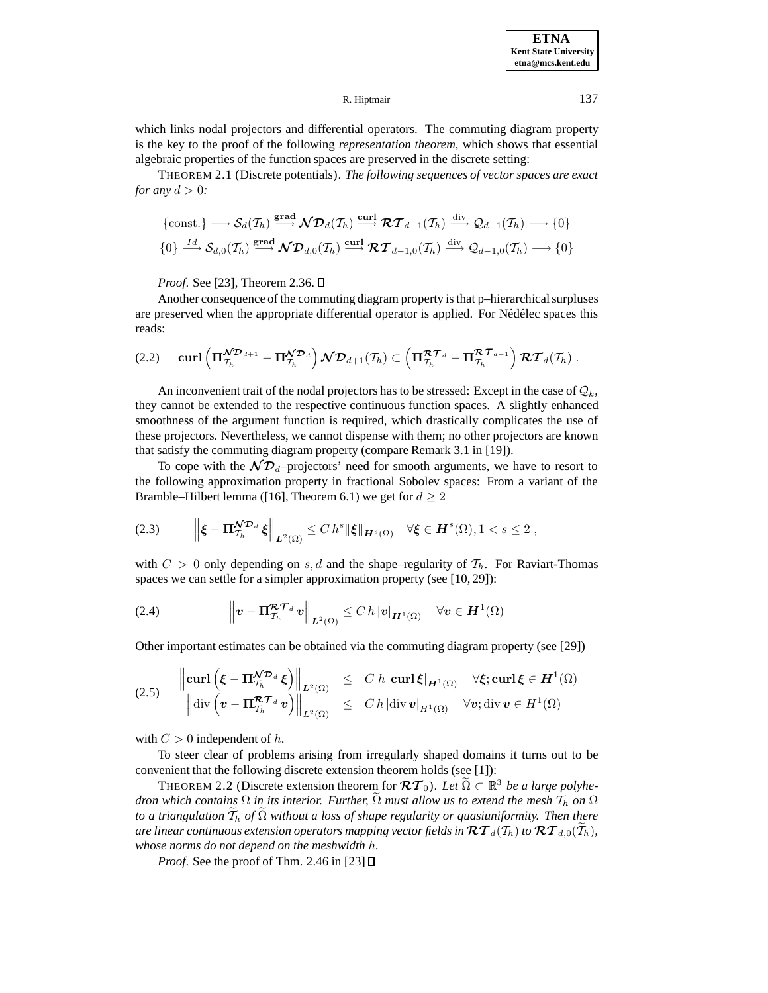**ETNA Kent State University etna@mcs.kent.edu**

#### R. Hiptmair 137

which links nodal projectors and differential operators. The commuting diagram property is the key to the proof of the following *representation theorem*, which shows that essential algebraic properties of the function spaces are preserved in the discrete setting:

THEOREM 2.1 (Discrete potentials). *The following sequences of vector spaces are exact for any*  $d > 0$ *:* 

$$
\{\text{const.}\} \longrightarrow \mathcal{S}_d(\mathcal{T}_h) \stackrel{\text{grad}}{\longrightarrow} \mathcal{ND}_d(\mathcal{T}_h) \stackrel{\text{curl}}{\longrightarrow} \mathcal{RT}_{d-1}(\mathcal{T}_h) \stackrel{\text{div}}{\longrightarrow} \mathcal{Q}_{d-1}(\mathcal{T}_h) \longrightarrow \{0\}
$$
  

$$
\{0\} \stackrel{Id}{\longrightarrow} \mathcal{S}_{d,0}(\mathcal{T}_h) \stackrel{\text{grad}}{\longrightarrow} \mathcal{ND}_{d,0}(\mathcal{T}_h) \stackrel{\text{curl}}{\longrightarrow} \mathcal{RT}_{d-1,0}(\mathcal{T}_h) \stackrel{\text{div}}{\longrightarrow} \mathcal{Q}_{d-1,0}(\mathcal{T}_h) \longrightarrow \{0\}
$$

*Proof.* See [23], Theorem 2.36. □

Another consequence of the commuting diagram property is that p–hierarchical surpluses are preserved when the appropriate differential operator is applied. For Nédélec spaces this reads:

$$
(2.2) \quad \text{curl}\left(\Pi_{\mathcal{T}_h}^{\mathcal{N} \mathcal{D}_{d+1}} - \Pi_{\mathcal{T}_h}^{\mathcal{N} \mathcal{D}_d}\right) \mathcal{N} \mathcal{D}_{d+1}(\mathcal{T}_h) \subset \left(\Pi_{\mathcal{T}_h}^{\mathcal{R} \mathcal{T}_d} - \Pi_{\mathcal{T}_h}^{\mathcal{R} \mathcal{T}_{d-1}}\right) \mathcal{R} \mathcal{T}_d(\mathcal{T}_h) .
$$

An inconvenient trait of the nodal projectors has to be stressed: Except in the case of  $\mathcal{Q}_k$ , they cannot be extended to the respective continuous function spaces. A slightly enhanced smoothness of the argument function is required, which drastically complicates the use of these projectors. Nevertheless, we cannot dispense with them; no other projectors are known that satisfy the commuting diagram property (compare Remark 3.1 in [19]).

To cope with the  $\mathcal{ND}_d$ -projectors' need for smooth arguments, we have to resort to the following approximation property in fractional Sobolev spaces: From a variant of the Bramble–Hilbert lemma ([16], Theorem 6.1) we get for  $d \geq 2$ 

$$
(2.3) \t\t \left\| \boldsymbol{\xi} - \boldsymbol{\Pi}_{\mathcal{T}_h}^{\mathcal{N} \mathcal{D}_d} \boldsymbol{\xi} \right\|_{\boldsymbol{L}^2(\Omega)} \leq C \, h^s \| \boldsymbol{\xi} \|_{\boldsymbol{H}^s(\Omega)} \quad \forall \boldsymbol{\xi} \in \boldsymbol{H}^s(\Omega), 1 < s \leq 2 \;,
$$

with  $C > 0$  only depending on s, d and the shape–regularity of  $\mathcal{T}_h$ . For Raviart-Thomas spaces we can settle for a simpler approximation property (see [10, 29]):

(2.4) 
$$
\left\| \boldsymbol{v} - \boldsymbol{\Pi}_{\mathcal{I}_h}^{\mathcal{R}\mathcal{T}_d} \boldsymbol{v} \right\|_{\boldsymbol{L}^2(\Omega)} \leq C \, h \, |\boldsymbol{v}|_{\boldsymbol{H}^1(\Omega)} \quad \forall \boldsymbol{v} \in \boldsymbol{H}^1(\Omega)
$$

Other important estimates can be obtained via the commuting diagram property (see [29])

$$
(2.5) \qquad \begin{aligned} \left\| \mathbf{curl} \left( \boldsymbol{\xi} - \boldsymbol{\Pi}_{\mathcal{T}_h}^{\mathbf{X} \mathcal{D}_d} \boldsymbol{\xi} \right) \right\|_{\mathbf{L}^2(\Omega)} & \leq & \ C \ h \left| \mathbf{curl} \boldsymbol{\xi} \right|_{\mathbf{H}^1(\Omega)} \ \ \forall \boldsymbol{\xi}; \mathbf{curl} \boldsymbol{\xi} \in \mathbf{H}^1(\Omega) \\ \left\| \mathrm{div} \left( \boldsymbol{v} - \boldsymbol{\Pi}_{\mathcal{T}_h}^{\mathbf{R} \mathbf{T}_d} \boldsymbol{v} \right) \right\|_{\mathbf{L}^2(\Omega)} & \leq & \ C \ h \left| \mathrm{div} \ \boldsymbol{v} \right|_{\mathbf{H}^1(\Omega)} \ \ \forall \boldsymbol{v}; \mathrm{div} \ \boldsymbol{v} \in \mathbf{H}^1(\Omega) \end{aligned}
$$

with  $C > 0$  independent of h.

To steer clear of problems arising from irregularly shaped domains it turns out to be convenient that the following discrete extension theorem holds (see [1]):

THEOREM 2.2 (Discrete extension theorem for  $\mathcal{RT}_0$ ). Let  $\tilde{\Omega} \subset \mathbb{R}^3$  *be a large polyhedron which contains*  $\Omega$  *in its interior. Further,*  $\Omega$  *must allow us to extend the mesh*  $\mathcal{T}_h$  *on*  $\Omega$ to a triangulation T<sub>h</sub> of Ω without a loss of shape regularity or quasiuniformity. Then there are linear continuous extension operators mapping vector fields in  $\mathcal{RT}_{d}(T_h)$  to  $\mathcal{RT}_{d,0}(T_h)$ , *whose norms do not depend on the meshwidth* h*.*

*Proof.* See the proof of Thm. 2.46 in [23] **□**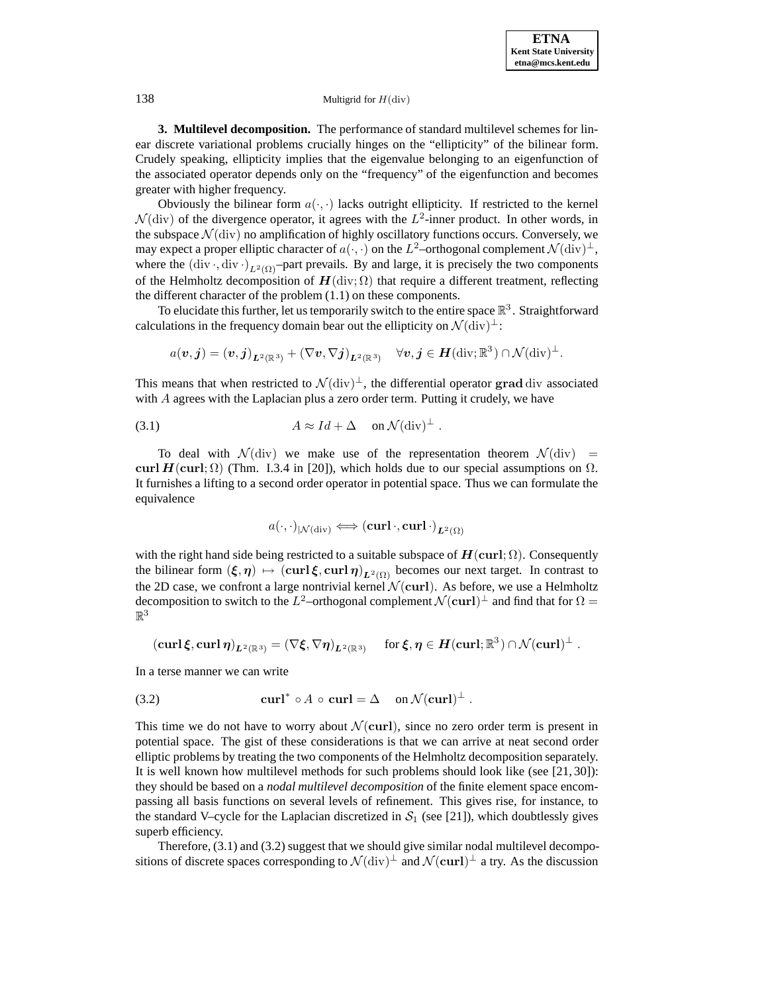**3. Multilevel decomposition.** The performance of standard multilevel schemes for linear discrete variational problems crucially hinges on the "ellipticity" of the bilinear form. Crudely speaking, ellipticity implies that the eigenvalue belonging to an eigenfunction of the associated operator depends only on the "frequency" of the eigenfunction and becomes greater with higher frequency.

Obviously the bilinear form  $a(\cdot, \cdot)$  lacks outright ellipticity. If restricted to the kernel  $\mathcal{N}$ (div) of the divergence operator, it agrees with the  $L^2$ -inner product. In other words, in the subspace  $\mathcal{N}$ (div) no amplification of highly oscillatory functions occurs. Conversely, we may expect a proper elliptic character of  $a(\cdot, \cdot)$  on the L<sup>2</sup>–orthogonal complement  $\mathcal{N}(\text{div})^{\perp}$ , where the  $\left(\text{div}\cdot\text{div}\cdot\right)_{L^2(\Omega)}$ -part prevails. By and large, it is precisely the two components of the Helmholtz decomposition of  $H(\text{div}; \Omega)$  that require a different treatment, reflecting the different character of the problem (1.1) on these components.

To elucidate this further, let us temporarily switch to the entire space  $\mathbb{R}^3$ . Straightforward calculations in the frequency domain bear out the ellipticity on  $\mathcal{N}(\text{div})^{\perp}$ :

$$
a(\boldsymbol{v},\boldsymbol{j}) = (\boldsymbol{v},\boldsymbol{j})_{\boldsymbol{L}^2(\mathbb{R}^3)} + (\nabla \boldsymbol{v}, \nabla \boldsymbol{j})_{\boldsymbol{L}^2(\mathbb{R}^3)} \quad \forall \boldsymbol{v},\boldsymbol{j} \in \boldsymbol{H}(\text{div};\mathbb{R}^3) \cap \mathcal{N}(\text{div})^\perp.
$$

This means that when restricted to  $\mathcal{N}(\text{div})^{\perp}$ , the differential operator grad div associated with A agrees with the Laplacian plus a zero order term. Putting it crudely, we have

(3.1) 
$$
A \approx Id + \Delta \quad \text{on } \mathcal{N}(\text{div})^{\perp} .
$$

To deal with  $\mathcal{N}(\text{div})$  we make use of the representation theorem  $\mathcal{N}(\text{div})$  = **curl** *H*(**curl**; Ω) (Thm. I.3.4 in [20]), which holds due to our special assumptions on  $Ω$ . It furnishes a lifting to a second order operator in potential space. Thus we can formulate the equivalence

$$
a(\cdot,\cdot)_{\vert\mathcal{N}(\mathrm{div})}\Longleftrightarrow(\mathbf{curl}\,\cdot,\mathbf{curl}\,\cdot)_{\boldsymbol{L}^2(\Omega)}
$$

with the right hand side being restricted to a suitable subspace of  $H(\text{curl}; \Omega)$ . Consequently the bilinear form  $(\xi, \eta) \mapsto (\text{curl}\,\xi, \text{curl}\,\eta)_{L^2(\Omega)}$  becomes our next target. In contrast to the 2D case, we confront a large nontrivial kernel  $\mathcal{N}(\mathbf{curl})$ . As before, we use a Helmholtz decomposition to switch to the L<sup>2</sup>–orthogonal complement  $\mathcal{N}(\mathbf{curl})^\perp$  and find that for  $\Omega$  =  $\mathbb{R}^3$ 

$$
(\operatorname{curl} \xi, \operatorname{curl} \eta)_{L^2(\mathbb{R}^3)} = (\nabla \xi, \nabla \eta)_{L^2(\mathbb{R}^3)} \quad \text{ for } \xi, \eta \in H(\operatorname{curl}; \mathbb{R}^3) \cap \mathcal{N}(\operatorname{curl})^{\perp} .
$$

In a terse manner we can write

(3.2) 
$$
\operatorname{curl}^* \circ A \circ \operatorname{curl} = \Delta \quad \text{on } \mathcal{N}(\operatorname{curl})^{\perp}.
$$

This time we do not have to worry about  $\mathcal{N}(\mathbf{curl})$ , since no zero order term is present in potential space. The gist of these considerations is that we can arrive at neat second order elliptic problems by treating the two components of the Helmholtz decomposition separately. It is well known how multilevel methods for such problems should look like (see [21, 30]): they should be based on a *nodal multilevel decomposition* of the finite element space encompassing all basis functions on several levels of refinement. This gives rise, for instance, to the standard V–cycle for the Laplacian discretized in  $S_1$  (see [21]), which doubtlessly gives superb efficiency.

Therefore, (3.1) and (3.2) suggest that we should give similar nodal multilevel decompositions of discrete spaces corresponding to  $\mathcal{N}(\text{div})^{\perp}$  and  $\mathcal{N}(\text{curl})^{\perp}$  a try. As the discussion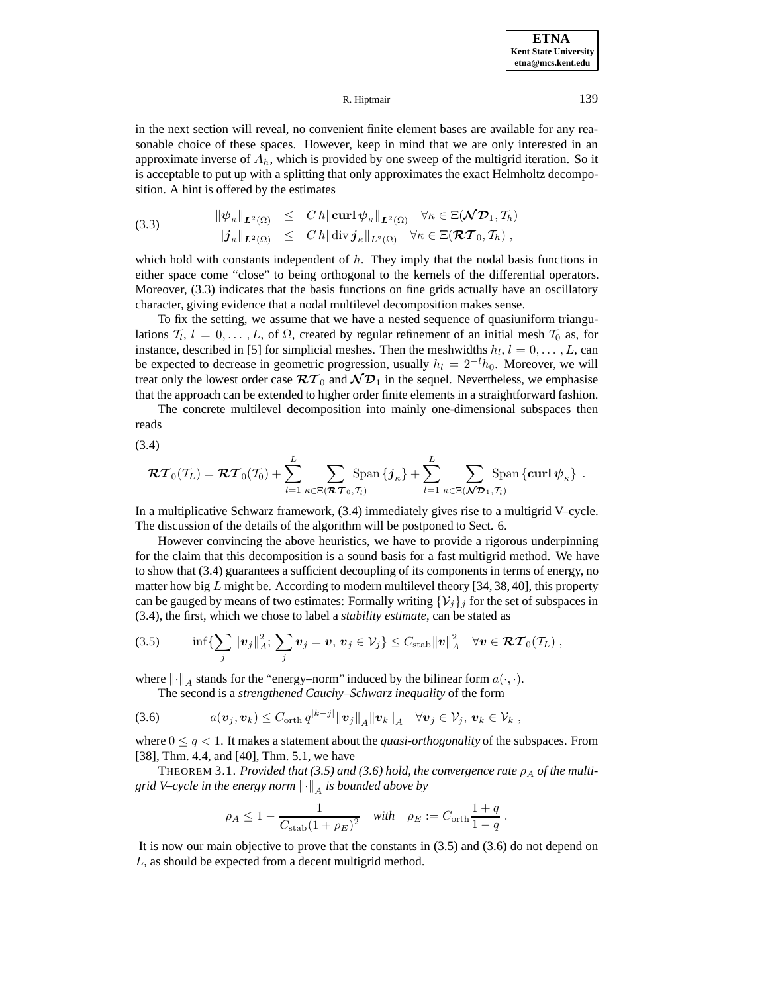in the next section will reveal, no convenient finite element bases are available for any reasonable choice of these spaces. However, keep in mind that we are only interested in an approximate inverse of  $A<sub>h</sub>$ , which is provided by one sweep of the multigrid iteration. So it is acceptable to put up with a splitting that only approximates the exact Helmholtz decomposition. A hint is offered by the estimates

(3.3) 
$$
\|\psi_{\kappa}\|_{L^{2}(\Omega)} \leq C h \|\operatorname{curl} \psi_{\kappa}\|_{L^{2}(\Omega)} \quad \forall \kappa \in \Xi(\mathcal{ND}_{1}, \mathcal{T}_{h})
$$

$$
\|j_{\kappa}\|_{L^{2}(\Omega)} \leq C h \|\operatorname{div} j_{\kappa}\|_{L^{2}(\Omega)} \quad \forall \kappa \in \Xi(\mathcal{RT}_{0}, \mathcal{T}_{h}),
$$

which hold with constants independent of  $h$ . They imply that the nodal basis functions in either space come "close" to being orthogonal to the kernels of the differential operators. Moreover, (3.3) indicates that the basis functions on fine grids actually have an oscillatory character, giving evidence that a nodal multilevel decomposition makes sense.

To fix the setting, we assume that we have a nested sequence of quasiuniform triangulations  $T_l$ ,  $l = 0, \ldots, L$ , of  $\Omega$ , created by regular refinement of an initial mesh  $T_0$  as, for instance, described in [5] for simplicial meshes. Then the meshwidths  $h_l$ ,  $l = 0, \ldots, L$ , can be expected to decrease in geometric progression, usually  $h_l = 2^{-l}h_0$ . Moreover, we will treat only the lowest order case  $\mathcal{RT}_0$  and  $\mathcal{ND}_1$  in the sequel. Nevertheless, we emphasise that the approach can be extended to higher order finite elements in a straightforward fashion.

The concrete multilevel decomposition into mainly one-dimensional subspaces then reads

$$
(3.4)
$$

$$
\boldsymbol{\mathcal{RT}}_0(\mathcal{T}_L) = \boldsymbol{\mathcal{RT}}_0(\mathcal{T}_0) + \sum_{l=1}^L \sum_{\kappa \in \Xi(\boldsymbol{\mathcal{RT}}_0,\mathcal{T}_l)} \text{Span}\left\{\boldsymbol{j}_{\kappa}\right\} + \sum_{l=1}^L \sum_{\kappa \in \Xi(\boldsymbol{\mathcal{NP}}_1,\mathcal{T}_l)} \text{Span}\left\{\text{curl}\,\boldsymbol{\psi}_{\kappa}\right\}.
$$

In a multiplicative Schwarz framework, (3.4) immediately gives rise to a multigrid V–cycle. The discussion of the details of the algorithm will be postponed to Sect. 6.

However convincing the above heuristics, we have to provide a rigorous underpinning for the claim that this decomposition is a sound basis for a fast multigrid method. We have to show that (3.4) guarantees a sufficient decoupling of its components in terms of energy, no matter how big  $L$  might be. According to modern multilevel theory [34, 38, 40], this property can be gauged by means of two estimates: Formally writing  $\{\mathcal{V}_j\}_j$  for the set of subspaces in (3.4), the first, which we chose to label a *stability estimate*, can be stated as

$$
(3.5) \qquad \inf\{\sum_j\|{\bm{v}}_j\|_A^2;\ \sum_j{\bm{v}}_j={\bm{v}},\,{\bm{v}}_j\in \mathcal{V}_j\}\leq C_{\rm stab} \|{\bm{v}}\|_A^2\quad \forall {\bm{v}}\in {\bm{\mathcal{RT}}_0(\mathcal{I}_L)}\ ,
$$

where  $\lVert \cdot \rVert_A$  stands for the "energy–norm" induced by the bilinear form  $a(\cdot, \cdot)$ .

The second is a *strengthened Cauchy–Schwarz inequality* of the form

$$
(3.6) \t a(\boldsymbol{v}_j, \boldsymbol{v}_k) \leq C_{\text{orth}} q^{|k-j|} ||\boldsymbol{v}_j||_A ||\boldsymbol{v}_k||_A \quad \forall \boldsymbol{v}_j \in \mathcal{V}_j, \, \boldsymbol{v}_k \in \mathcal{V}_k,
$$

where  $0 \le q < 1$ . It makes a statement about the *quasi-orthogonality* of the subspaces. From [38], Thm. 4.4, and [40], Thm. 5.1, we have

THEOREM 3.1. *Provided that (3.5) and (3.6) hold, the convergence rate*  $\rho_A$  *of the multigrid V–cycle in the energy norm*  $\lVert \cdot \rVert_A$  *is bounded above by* 

$$
\rho_A \le 1 - \frac{1}{C_{\text{stab}}(1 + \rho_E)^2} \quad \text{with} \quad \rho_E := C_{\text{orth}} \frac{1 + q}{1 - q} \, .
$$

It is now our main objective to prove that the constants in (3.5) and (3.6) do not depend on L, as should be expected from a decent multigrid method.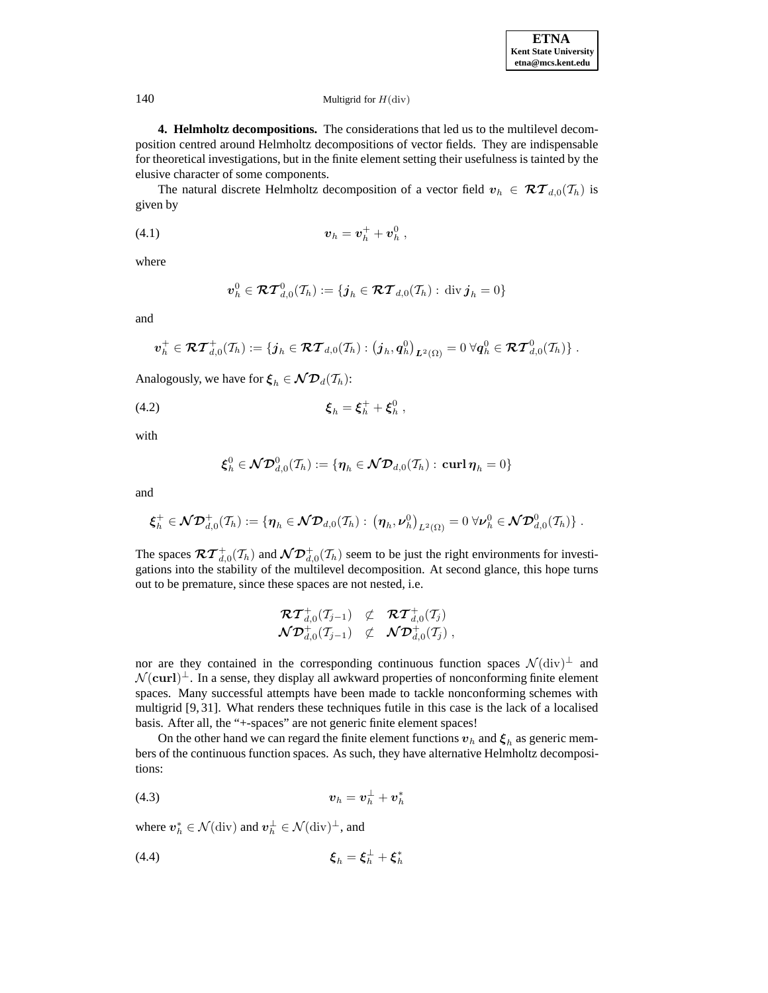**4. Helmholtz decompositions.** The considerations that led us to the multilevel decomposition centred around Helmholtz decompositions of vector fields. They are indispensable for theoretical investigations, but in the finite element setting their usefulness is tainted by the elusive character of some components.

The natural discrete Helmholtz decomposition of a vector field  $v_h \in \mathcal{RT}_{d,0}(\mathcal{T}_h)$  is given by

(4.1) 
$$
v_h = v_h^+ + v_h^0,
$$

where

$$
\boldsymbol{v}_h^0\in\boldsymbol{\mathcal{RT}}^0_{d,0}(\mathcal{T}_h):=\{\boldsymbol{j}_h\in\boldsymbol{\mathcal{RT}}_{d,0}(\mathcal{T}_h):\,\operatorname{div}\boldsymbol{j}_h=0\}
$$

and

$$
\bm{v}_h^+\in\bm{\mathcal{RT}}^+_{d,0}(\mathcal{I}_h):=\{\bm{j}_h\in\bm{\mathcal{RT}}_{d,0}(\mathcal{I}_h): \left(\bm{j}_h,\bm{q}_h^0\right)_{\bm{L}^2(\Omega)}=0\;\forall \bm{q}_h^0\in\bm{\mathcal{RT}}_{d,0}^0(\mathcal{I}_h)\}\;.
$$

Analogously, we have for  $\xi_h \in \mathcal{ND}_d(\mathcal{T}_h)$ :

(4.2) 
$$
\xi_h = \xi_h^+ + \xi_h^0,
$$

with

$$
\boldsymbol{\xi}_h^0\in \boldsymbol{\mathcal{ND}}^0_{d,0}(\mathcal{I}_h):=\{\boldsymbol{\eta}_h\in \boldsymbol{\mathcal{ND}}_{d,0}(\mathcal{I}_h):\,\operatorname{\mathbf{curl}} \boldsymbol{\eta}_h=0\}
$$

and

$$
\boldsymbol{\xi}_h^+\in \boldsymbol{\mathcal{ND}}_{d,0}^+(\mathcal{I}_h):=\{\boldsymbol{\eta}_h\in \boldsymbol{\mathcal{ND}}_{d,0}(\mathcal{I}_h):\ \big(\boldsymbol{\eta}_h,\boldsymbol{\nu}_h^0\big)_{L^2(\Omega)}=0\ \forall \boldsymbol{\nu}_h^0\in \boldsymbol{\mathcal{ND}}_{d,0}^0(\mathcal{I}_h)\}\ .
$$

The spaces  $\mathcal{RT}^+_{d,0}(\mathcal{I}_h)$  and  $\mathcal{ND}^+_{d,0}(\mathcal{I}_h)$  seem to be just the right environments for investigations into the stability of the multilevel decomposition. At second glance, this hope turns out to be premature, since these spaces are not nested, i.e.

$$
\begin{array}{cccl} \mathcal{RT}^+_{d,0}(\mathcal{T}_{j-1}) & \not\subset & \mathcal{RT}^+_{d,0}(\mathcal{T}_{j}) \\ \mathcal{ND}^+_{d,0}(\mathcal{T}_{j-1}) & \not\subset & \mathcal{ND}^+_{d,0}(\mathcal{T}_{j}) \end{array}
$$

nor are they contained in the corresponding continuous function spaces  $\mathcal{N}(\text{div})^{\perp}$  and  $\mathcal{N}(\mathbf{curl})^{\perp}$ . In a sense, they display all awkward properties of nonconforming finite element spaces. Many successful attempts have been made to tackle nonconforming schemes with multigrid [9, 31]. What renders these techniques futile in this case is the lack of a localised basis. After all, the "+-spaces" are not generic finite element spaces!

On the other hand we can regard the finite element functions  $v_h$  and  $\xi_h$  as generic members of the continuous function spaces. As such, they have alternative Helmholtz decompositions:

$$
(4.3) \t\t\t\t\t v_h = v_h^{\perp} + v_h^*
$$

where  $v_h^* \in \mathcal{N}(\text{div})$  and  $v_h^{\perp} \in \mathcal{N}(\text{div})^{\perp}$ , and

*ξ*<sup>h</sup> = *ξ*<sup>⊥</sup> <sup>h</sup> + *ξ*<sup>∗</sup> <sup>h</sup> (4.4)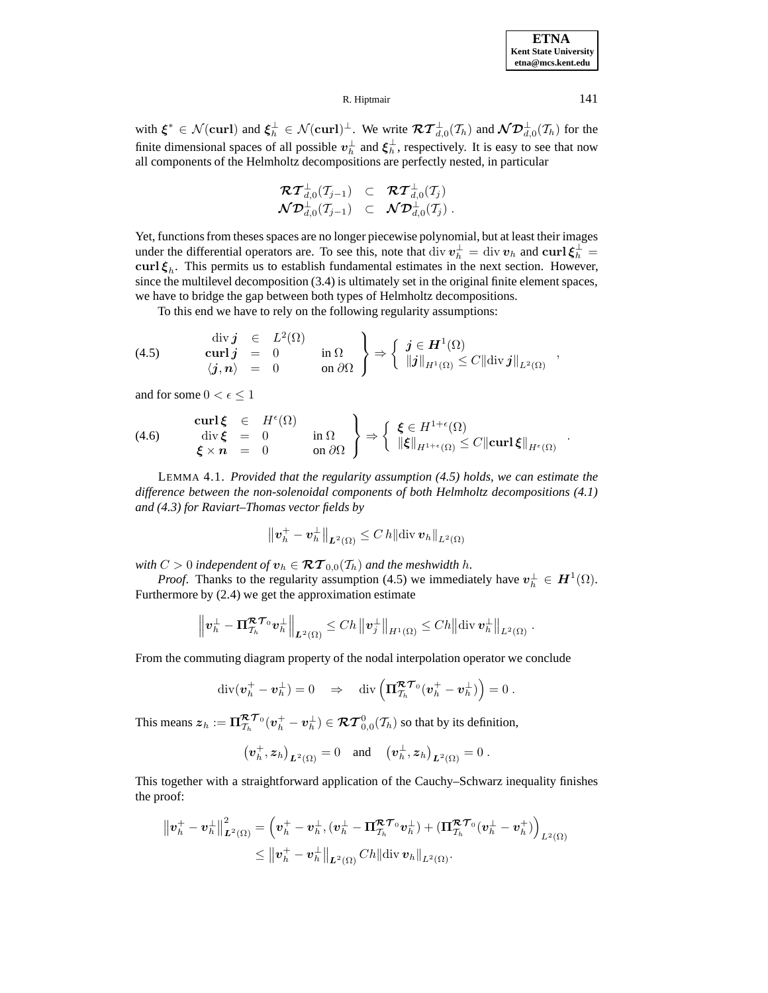| <b>ETNA</b>                  |  |  |  |  |  |
|------------------------------|--|--|--|--|--|
| <b>Kent State University</b> |  |  |  |  |  |
| etna@mcs.kent.edu            |  |  |  |  |  |

with  $\xi^* \in \mathcal{N}(\text{curl})$  and  $\xi_h^{\perp} \in \mathcal{N}(\text{curl})^{\perp}$ . We write  $\mathcal{RT}^{\perp}_{d,0}(\mathcal{I}_h)$  and  $\mathcal{ND}^{\perp}_{d,0}(\mathcal{I}_h)$  for the finite dimensional spaces of all possible  $v_h^{\perp}$  and  $\xi_h^{\perp}$ , respectively. It is easy to see that now all components of the Helmholtz decompositions are perfectly nested, in particular

$$
\begin{array}{rcl}\boldsymbol{\mathcal{R}}\boldsymbol{\mathcal{T}}^{\perp}_{d,0}(T_{j-1})&\subset&\boldsymbol{\mathcal{R}}\boldsymbol{\mathcal{T}}^{\perp}_{d,0}(T_{j})\\\boldsymbol{\mathcal{N}}\boldsymbol{\mathcal{D}}^{\perp}_{d,0}(T_{j-1})&\subset&\boldsymbol{\mathcal{N}}\boldsymbol{\mathcal{D}}^{\perp}_{d,0}(T_{j})\ .\end{array}
$$

Yet, functions from theses spaces are no longer piecewise polynomial, but at least their images under the differential operators are. To see this, note that  $\text{div } v_h^{\perp} = \text{div } v_h$  and  $\text{curl } \xi_h^{\perp} =$ **curl**  $\xi_h$ . This permits us to establish fundamental estimates in the next section. However, since the multilevel decomposition (3.4) is ultimately set in the original finite element spaces, we have to bridge the gap between both types of Helmholtz decompositions.

To this end we have to rely on the following regularity assumptions:

(4.5) 
$$
\begin{array}{rcl}\n\text{div } j & \in & L^2(\Omega) \\
\text{curl } j & = & 0 \\
\langle j, n \rangle & = & 0\n\end{array} \quad \text{in } \Omega \quad \left\{ \begin{array}{rcl}\n\textbf{j} \in H^1(\Omega) \\
\text{div } j \Vert_{H^1(\Omega)} \leq C \Vert \text{div } j \Vert_{L^2(\Omega)}\n\end{array} \right\}
$$

and for some  $0 < \epsilon < 1$ 

(4.6) 
$$
\begin{array}{rcl}\n\textbf{curl}\,\boldsymbol{\xi} & \in & H^{\epsilon}(\Omega) \\
\text{div}\,\boldsymbol{\xi} & = & 0 \\
\boldsymbol{\xi} \times \boldsymbol{n} & = & 0\n\end{array}\n\quad\n\text{in }\Omega\n\end{array}\n\bigg\} \Rightarrow\n\left\{\n\begin{array}{rcl}\n\xi \in H^{1+\epsilon}(\Omega) \\
\|\boldsymbol{\xi}\|_{H^{1+\epsilon}(\Omega)} \leq C \|\textbf{curl}\,\boldsymbol{\xi}\|_{H^{\epsilon}(\Omega)}\n\end{array}.
$$

LEMMA 4.1. *Provided that the regularity assumption (4.5) holds, we can estimate the difference between the non-solenoidal components of both Helmholtz decompositions (4.1) and (4.3) for Raviart–Thomas vector fields by*

$$
\big\|\bm{v}_h^+-\bm{v}_h^{\perp}\big\|_{\bm{L}^2(\Omega)}\leq C\,h\|\text{div}\,\bm{v}_h\|_{L^2(\Omega)}
$$

*with*  $C > 0$  *independent of*  $v_h \in \mathcal{RT}_{0,0}(\mathcal{T}_h)$  *and the meshwidth h.* 

*Proof.* Thanks to the regularity assumption (4.5) we immediately have  $v_h^{\perp} \in H^1(\Omega)$ . Furthermore by (2.4) we get the approximation estimate

$$
\left\|\mathbf{v}_h^{\perp}-\mathbf{\Pi}_{\mathcal{T}_h}^{\mathcal{R}\mathcal{T}_0}\mathbf{v}_h^{\perp}\right\|_{\mathbf{L}^2(\Omega)} \le Ch \left\|\mathbf{v}_j^{\perp}\right\|_{H^1(\Omega)} \le Ch \left\|\text{div}\,\mathbf{v}_h^{\perp}\right\|_{L^2(\Omega)}.
$$

From the commuting diagram property of the nodal interpolation operator we conclude

$$
\mathrm{div}(\pmb{v}_h^+-\pmb{v}_h^\perp)=0\quad\Rightarrow\quad \mathrm{div}\left(\pmb{\Pi}_{\mathcal{T}_h}^{\pmb{\mathcal{RT}}_0}(\pmb{v}_h^+-\pmb{v}_h^\perp)\right)=0\ .
$$

This means  $z_h := \Pi_{\mathcal{T}_h}^{\mathcal{RT}_0} (v_h^+ - v_h^{\perp}) \in \mathcal{RT}_{0,0}^0(\mathcal{T}_h)$  so that by its definition,

$$
(\boldsymbol{v}_h^+, \boldsymbol{z}_h)_{\boldsymbol{L}^2(\Omega)} = 0
$$
 and  $(\boldsymbol{v}_h^+, \boldsymbol{z}_h)_{\boldsymbol{L}^2(\Omega)} = 0$ .

This together with a straightforward application of the Cauchy–Schwarz inequality finishes the proof:

$$
\begin{aligned} \left\|\bm{v}_h^+ - \bm{v}_h^{\perp}\right\|_{\bm{L}^2(\Omega)}^2 &= \left(\bm{v}_h^+ - \bm{v}_h^{\perp}, (\bm{v}_h^{\perp} - \bm{\Pi}_{\mathcal{T}_h}^{\bm{\mathcal{R}}\bm{\mathcal{T}}_0}\bm{v}_h^{\perp}) + (\bm{\Pi}_{\mathcal{T}_h}^{\bm{\mathcal{R}}\bm{\mathcal{T}}_0}(\bm{v}_h^{\perp} - \bm{v}_h^{\perp})\right)_{L^2(\Omega)} \\ &\leq \left\|\bm{v}_h^+ - \bm{v}_h^{\perp}\right\|_{\bm{L}^2(\Omega)} C h \|\mathrm{div}\,\bm{v}_h\|_{L^2(\Omega)}. \end{aligned}
$$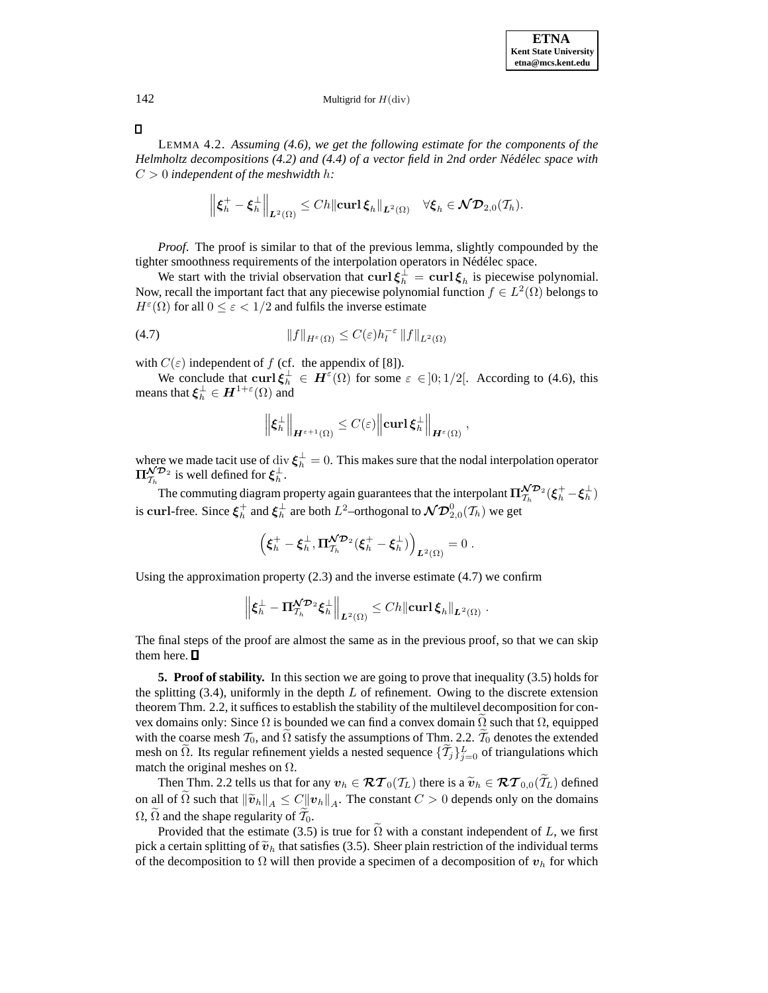# 142 Multigrid for  $H$ (div)

 $\Box$ 

LEMMA 4.2. *Assuming (4.6), we get the following estimate for the components of the Helmholtz decompositions (4.2) and (4.4) of a vector field in 2nd order Nédélec space with* C > 0 *independent of the meshwidth* h*:*

$$
\left\|\boldsymbol{\xi}_h^+ - \boldsymbol{\xi}_h^{\perp}\right\|_{\boldsymbol{L}^2(\Omega)} \le Ch \|\boldsymbol{\operatorname{curl}} \, \boldsymbol{\xi}_h\|_{\boldsymbol{L}^2(\Omega)} \quad \forall \boldsymbol{\xi}_h \in \boldsymbol{\mathcal{ND}}_{2,0}(\mathcal{T}_h).
$$

*Proof.* The proof is similar to that of the previous lemma, slightly compounded by the tighter smoothness requirements of the interpolation operators in Nédélec space.

We start with the trivial observation that  $\text{curl}\,\boldsymbol{\xi}_h^{\perp} = \text{curl}\,\boldsymbol{\xi}_h$  is piecewise polynomial. Now, recall the important fact that any piecewise polynomial function  $f \in L^2(\Omega)$  belongs to  $H^{\varepsilon}(\Omega)$  for all  $0 \leq \varepsilon < 1/2$  and fulfils the inverse estimate

$$
(4.7) \t\t\t\t\t||f||_{H^{\varepsilon}(\Omega)} \leq C(\varepsilon)h_l^{-\varepsilon}||f||_{L^2(\Omega)}
$$

with  $C(\varepsilon)$  independent of f (cf. the appendix of [8]).

We conclude that  $\text{curl } \xi_h^{\perp} \in H^{\varepsilon}(\Omega)$  for some  $\varepsilon \in ]0;1/2[$ . According to (4.6), this means that  $\xi_h^{\perp} \in H^{1+\varepsilon}(\Omega)$  and

$$
\left\|\xi_h^\perp\right\|_{\boldsymbol H^{\varepsilon+1}(\Omega)} \leq C(\varepsilon) \left\|\operatorname{curl} \xi_h^\perp\right\|_{\boldsymbol H^{\varepsilon}(\Omega)},
$$

where we made tacit use of div  $\xi_h^{\perp} = 0$ . This makes sure that the nodal interpolation operator  $\Pi_{\mathcal{T}_h}^{\mathcal{NP}_2}$  is well defined for  $\xi_h^{\perp}$ .

The commuting diagram property again guarantees that the interpolant  $\Pi_{\mathcal{T}_h}^{\mathcal{ND}_2}(\xi_h^+ - \xi_h^{\perp})$ is  ${\bf curl}$ -free. Since  $\xi_h^+$  and  $\xi_h^\perp$  are both  $L^2$ –orthogonal to  $\mathcal{ND}_{2,0}^0(\mathcal{T}_h)$  we get

$$
\Big(\pmb{\xi}_h^+-\pmb{\xi}_h^\perp,\pmb{\Pi}_{\mathcal{T}_h}^{\pmb{\mathcal{N}}\mathcal{D}_2}(\pmb{\xi}_h^+-\pmb{\xi}_h^\perp)\Big)_{\pmb{L}^2(\Omega)}=0\;.
$$

Using the approximation property (2.3) and the inverse estimate (4.7) we confirm

$$
\left\| \boldsymbol{\xi}_h^\perp - \boldsymbol{\Pi}_{\mathcal{T}_h}^{\mathcal{N}\mathcal{D}_2} \boldsymbol{\xi}_h^\perp \right\|_{L^2(\Omega)} \leq C h \|\boldsymbol{\operatorname{curl}}\, \boldsymbol{\xi}_h\|_{L^2(\Omega)}\;.
$$

The final steps of the proof are almost the same as in the previous proof, so that we can skip them here.  $\square$ 

**5. Proof of stability.** In this section we are going to prove that inequality (3.5) holds for the splitting  $(3.4)$ , uniformly in the depth L of refinement. Owing to the discrete extension theorem Thm. 2.2, it suffices to establish the stability of the multilevel decomposition for convex domains only: Since  $\Omega$  is bounded we can find a convex domain  $\Omega$  such that  $\Omega$ , equipped with the coarse mesh  $\mathcal{T}_0$ , and  $\Omega$  satisfy the assumptions of Thm. 2.2.  $\mathcal{T}_0$  denotes the extended mesh on  $\Omega$ . Its regular refinement yields a nested sequence  $\{\mathcal{T}_j\}_{j=0}^L$  of triangulations which match the original meshes on  $\Omega$ .

Then Thm. 2.2 tells us that for any  $v_h \in \mathcal{RT}_0(\mathcal{T}_L)$  there is a  $\widetilde{v}_h \in \mathcal{RT}_{0,0}(\mathcal{T}_L)$  defined on all of  $\Omega$  such that  $\|\tilde{\bm{v}}_h\|_A \leq C\|\bm{v}_h\|_A$ . The constant  $C > 0$  depends only on the domains  $\Omega$ ,  $\Omega$  and the shape regularity of  $\mathcal{T}_0$ .

Provided that the estimate (3.5) is true for  $\Omega$  with a constant independent of L, we first pick a certain splitting of  $\tilde{v}_h$  that satisfies (3.5). Sheer plain restriction of the individual terms of the decomposition to  $\Omega$  will then provide a specimen of a decomposition of  $v_h$  for which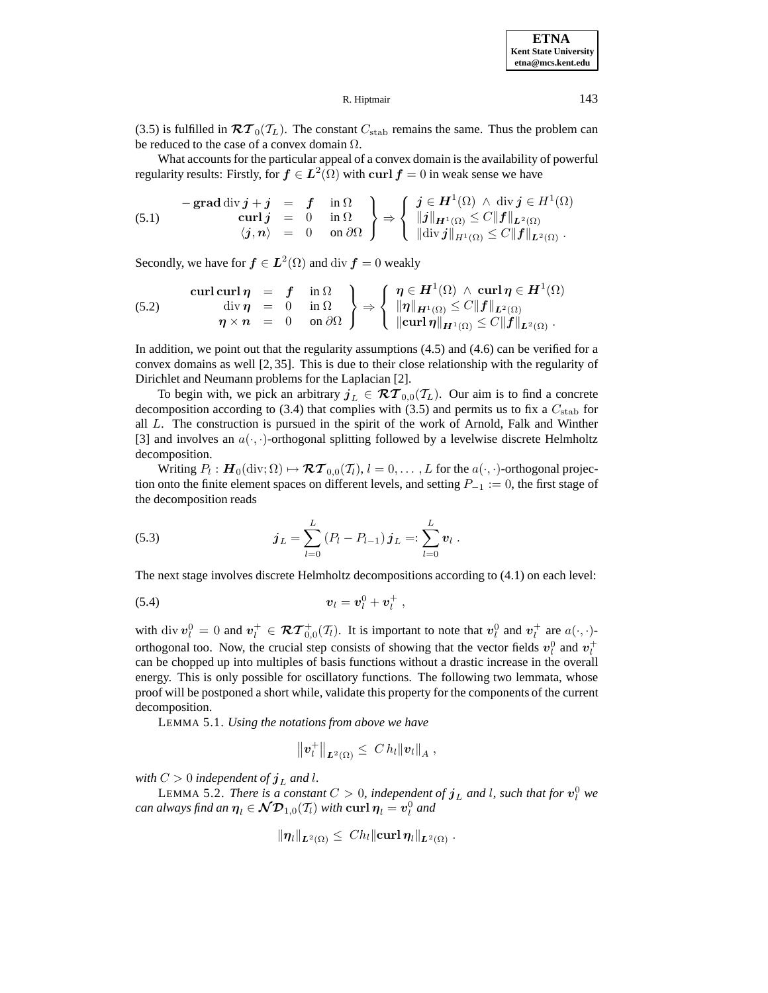**ETNA Kent State University etna@mcs.kent.edu**

R. Hiptmair 143

(3.5) is fulfilled in  $\mathcal{RT}_0(\mathcal{T}_L)$ . The constant  $C_{stab}$  remains the same. Thus the problem can be reduced to the case of a convex domain  $\Omega$ .

What accounts for the particular appeal of a convex domain is the availability of powerful regularity results: Firstly, for  $f \in L^2(\Omega)$  with curl  $f = 0$  in weak sense we have

(5.1) 
$$
\begin{array}{rcl}\n-\text{grad div } j + j & = & f \quad \text{in } \Omega \\
\text{curl } j & = & 0 \quad \text{in } \Omega \\
\langle j, n \rangle & = & 0 \quad \text{on } \partial \Omega\n\end{array}\n\right\} \Rightarrow\n\left\{\n\begin{array}{rcl}\nj \in H^1(\Omega) \land \text{div } j \in H^1(\Omega) \\
\|j\|_{H^1(\Omega)} \le C \|f\|_{L^2(\Omega)} \\
\|\text{div } j\|_{H^1(\Omega)} \le C \|f\|_{L^2(\Omega)}\n\end{array}.
$$

Secondly, we have for  $f \in L^2(\Omega)$  and div  $f = 0$  weakly

(5.2) 
$$
\begin{array}{rcl}\n\text{curl curl }\eta & = & f & \text{in } \Omega \\
\text{div }\eta & = & 0 & \text{in } \Omega \\
\eta \times n & = & 0 & \text{on } \partial\Omega\n\end{array}\n\right\} \Rightarrow \left\{\n\begin{array}{rcl}\n\eta \in H^1(\Omega) \land \text{curl }\eta \in H^1(\Omega) \\
\|\eta\|_{H^1(\Omega)} \leq C \|f\|_{L^2(\Omega)} \\
\text{curl }\eta\|_{H^1(\Omega)} \leq C \|f\|_{L^2(\Omega)}\n\end{array}.
$$

In addition, we point out that the regularity assumptions (4.5) and (4.6) can be verified for a convex domains as well [2, 35]. This is due to their close relationship with the regularity of Dirichlet and Neumann problems for the Laplacian [2].

To begin with, we pick an arbitrary  $j_L \in \mathcal{RT}_{0,0}(\mathcal{T}_L)$ . Our aim is to find a concrete decomposition according to (3.4) that complies with (3.5) and permits us to fix a  $C_{\text{stab}}$  for all L. The construction is pursued in the spirit of the work of Arnold, Falk and Winther [3] and involves an  $a(\cdot, \cdot)$ -orthogonal splitting followed by a levelwise discrete Helmholtz decomposition.

Writing  $P_l : H_0(\text{div}; \Omega) \mapsto \mathcal{RT}_{0,0}(\mathcal{T}_l), l = 0, \ldots, L$  for the  $a(\cdot, \cdot)$ -orthogonal projection onto the finite element spaces on different levels, and setting  $P_{-1} := 0$ , the first stage of the decomposition reads

(5.3) 
$$
\boldsymbol{j}_L = \sum_{l=0}^L (P_l - P_{l-1}) \boldsymbol{j}_L =: \sum_{l=0}^L \boldsymbol{v}_l.
$$

The next stage involves discrete Helmholtz decompositions according to (4.1) on each level:

$$
v_l = v_l^0 + v_l^+ ,
$$

with div  $v_l^0 = 0$  and  $v_l^+ \in \mathcal{RT}^+_{0,0}(\mathcal{I}_l)$ . It is important to note that  $v_l^0$  and  $v_l^+$  are  $a(\cdot, \cdot)$ orthogonal too. Now, the crucial step consists of showing that the vector fields  $v_l^0$  and  $v_l^+$ can be chopped up into multiples of basis functions without a drastic increase in the overall energy. This is only possible for oscillatory functions. The following two lemmata, whose proof will be postponed a short while, validate this property for the components of the current decomposition.

LEMMA 5.1. *Using the notations from above we have*

$$
\|\bm{v}_l^+\|_{\bm{L}^2(\Omega)} \leq C h_l \| \bm{v}_l \|_A \ ,
$$

*with*  $C > 0$  *independent of*  $j<sub>L</sub>$  *and l*.

LEMMA 5.2. *There is a constant*  $C > 0$ , independent of  $\boldsymbol{j}_L$  and l, such that for  $\boldsymbol{v}_l^0$  we  $c$ *an always find an*  $\boldsymbol{\eta}_l \in \mathcal{ND}_{1,0}(\mathcal{T}_l)$  *with*  $\textbf{curl} \, \boldsymbol{\eta}_l = \boldsymbol{v}_l^0$  *and* 

$$
\|\eta_l\|_{L^2(\Omega)}\leq Ch_l\|\mathrm{curl}\,\eta_l\|_{L^2(\Omega)}\ .
$$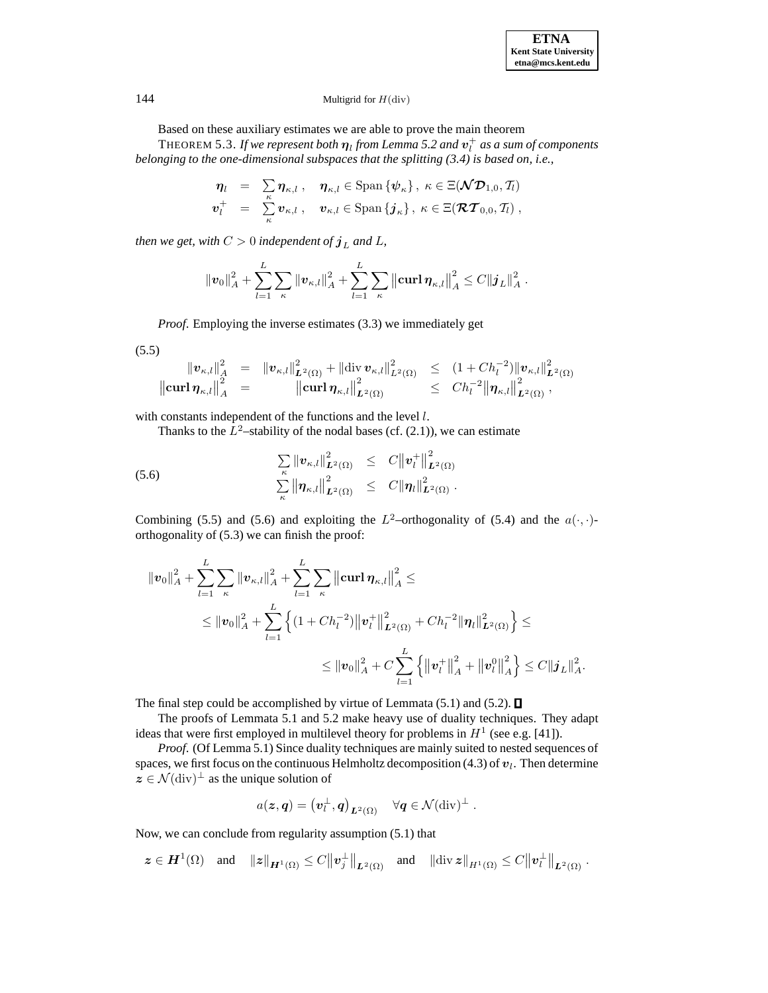# 144 Multigrid for  $H$ (div)

Based on these auxiliary estimates we are able to prove the main theorem

THEOREM 5.3. *If we represent both*  $\eta_l$  *from Lemma 5.2 and*  $v_l^+$  *as a sum of components belonging to the one-dimensional subspaces that the splitting (3.4) is based on, i.e.,*

$$
\begin{array}{rcl}\n\boldsymbol{\eta}_l & = & \sum_{\kappa} \boldsymbol{\eta}_{\kappa,l} \;, \quad \boldsymbol{\eta}_{\kappa,l} \in \text{Span}\left\{\boldsymbol{\psi}_{\kappa}\right\}, \ \kappa \in \Xi(\boldsymbol{\mathcal{ND}}_{1,0},\mathcal{T}_l) \\
\boldsymbol{v}_l^+ & = & \sum_{\kappa} \boldsymbol{v}_{\kappa,l} \;, \quad \boldsymbol{v}_{\kappa,l} \in \text{Span}\left\{\boldsymbol{j}_{\kappa}\right\}, \ \kappa \in \Xi(\boldsymbol{\mathcal{RT}}_{0,0},\mathcal{T}_l) \;, \n\end{array}
$$

*then we get, with*  $C > 0$  *independent of*  $j<sub>L</sub>$  *and*  $L$ *,* 

$$
\|\bm{v}_0\|_A^2 + \sum_{l=1}^L \sum_{\kappa} \|\bm{v}_{\kappa,l}\|_A^2 + \sum_{l=1}^L \sum_{\kappa} \left\| \mathbf{curl} \, \bm{\eta}_{\kappa,l} \right\|_A^2 \leq C \| \bm{j}_L \|_A^2.
$$

*Proof*. Employing the inverse estimates (3.3) we immediately get

$$
(5.5)
$$

$$
\|v_{\kappa,l}\|_{A}^{2} = \|v_{\kappa,l}\|_{L^{2}(\Omega)}^{2} + \|\text{div}\,v_{\kappa,l}\|_{L^{2}(\Omega)}^{2} \leq (1 + Ch_{l}^{-2})\|v_{\kappa,l}\|_{L^{2}(\Omega)}^{2}
$$
  

$$
\|\text{curl}\,\eta_{\kappa,l}\|_{A}^{2} = \|\text{curl}\,\eta_{\kappa,l}\|_{L^{2}(\Omega)}^{2} \leq Ch_{l}^{-2}\|\eta_{\kappa,l}\|_{L^{2}(\Omega)}^{2},
$$

with constants independent of the functions and the level l.

Thanks to the  $\overline{L^2}$ –stability of the nodal bases (cf. (2.1)), we can estimate

(5.6) 
$$
\sum_{\kappa} ||\mathbf{v}_{\kappa,l}||_{\mathbf{L}^2(\Omega)}^2 \leq C ||\mathbf{v}_l^+||_{\mathbf{L}^2(\Omega)}^2
$$

$$
\sum_{\kappa} ||\mathbf{\eta}_{\kappa,l}||_{\mathbf{L}^2(\Omega)}^2 \leq C ||\mathbf{\eta}_l||_{\mathbf{L}^2(\Omega)}^2.
$$

Combining (5.5) and (5.6) and exploiting the  $L^2$ -orthogonality of (5.4) and the  $a(\cdot, \cdot)$ orthogonality of (5.3) we can finish the proof:

$$
\|v_0\|_A^2 + \sum_{l=1}^L \sum_{\kappa} \|v_{\kappa,l}\|_A^2 + \sum_{l=1}^L \sum_{\kappa} \left\| \operatorname{curl} \eta_{\kappa,l} \right\|_A^2 \le
$$
  

$$
\leq \|v_0\|_A^2 + \sum_{l=1}^L \left\{ (1 + Ch_l^{-2}) \|v_l^+\|_{L^2(\Omega)}^2 + Ch_l^{-2} \|\eta_l\|_{L^2(\Omega)}^2 \right\} \le
$$
  

$$
\leq \|v_0\|_A^2 + C \sum_{l=1}^L \left\{ \|v_l^+\|_A^2 + \|v_l^0\|_A^2 \right\} \leq C \|j_L\|_A^2.
$$

The final step could be accomplished by virtue of Lemmata (5.1) and (5.2).  $\square$ 

The proofs of Lemmata 5.1 and 5.2 make heavy use of duality techniques. They adapt ideas that were first employed in multilevel theory for problems in  $H^1$  (see e.g. [41]).

*Proof*. (Of Lemma 5.1) Since duality techniques are mainly suited to nested sequences of spaces, we first focus on the continuous Helmholtz decomposition  $(4.3)$  of  $v_l$ . Then determine  $z \in \mathcal{N}(\text{div})^{\perp}$  as the unique solution of

$$
a(\boldsymbol{z},\boldsymbol{q}) = \left(\boldsymbol{v}_l^{\perp},\boldsymbol{q}\right)_{\boldsymbol{L}^2(\Omega)} \quad \forall \boldsymbol{q} \in \mathcal{N}(\text{div})^{\perp} \ .
$$

Now, we can conclude from regularity assumption (5.1) that

$$
\boldsymbol{z} \in \boldsymbol{H}^1(\Omega) \quad \text{and} \quad \|\boldsymbol{z}\|_{\boldsymbol{H}^1(\Omega)} \leq C \|\boldsymbol{v}_j^{\perp}\|_{\boldsymbol{L}^2(\Omega)} \quad \text{and} \quad \|\text{div}\,\boldsymbol{z}\|_{\boldsymbol{H}^1(\Omega)} \leq C \|\boldsymbol{v}_l^{\perp}\|_{\boldsymbol{L}^2(\Omega)}.
$$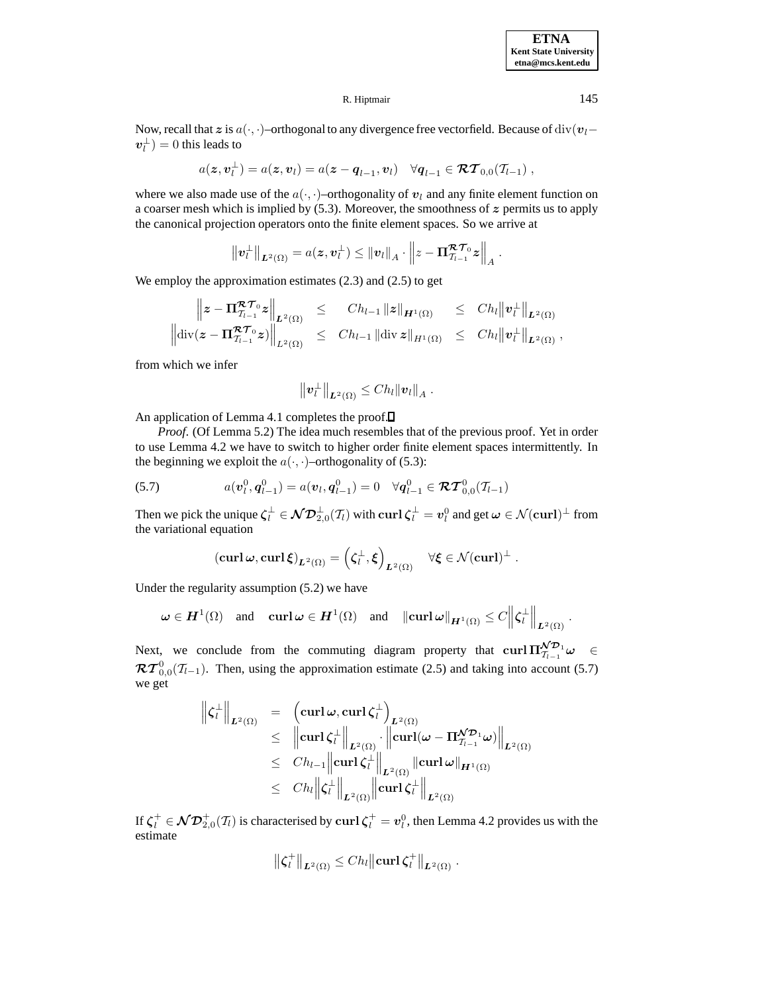**ETNA Kent State University etna@mcs.kent.edu**

### R. Hiptmair 145

Now, recall that *z* is a( $\cdot$ , ·)–orthogonal to any divergence free vectorfield. Because of div(*v*<sub>l</sub>−  $v_l^{\perp}$ ) = 0 this leads to

$$
a(\boldsymbol{z},\boldsymbol{v}_l^{\perp})=a(\boldsymbol{z},\boldsymbol{v}_l)=a(\boldsymbol{z}-\boldsymbol{q}_{l-1},\boldsymbol{v}_l)\quad\forall \boldsymbol{q}_{l-1}\in\boldsymbol{\mathcal{RT}}_{0,0}(\mathcal{T}_{l-1}),
$$

where we also made use of the  $a(\cdot, \cdot)$ –orthogonality of  $v_l$  and any finite element function on a coarser mesh which is implied by (5.3). Moreover, the smoothness of *z* permits us to apply the canonical projection operators onto the finite element spaces. So we arrive at

$$
\left\|\bm{v}_l^{\perp}\right\|_{\bm{L}^2(\Omega)} = a(\bm{z},\bm{v}_l^{\perp}) \leq \left\|\bm{v}_l\right\|_{A} \cdot \left\|\bm{z} - \bm{\Pi}_{\mathcal{T}_{l-1}}^{\bm{\mathcal{RT}}_0} \bm{z}\right\|_{A}.
$$

We employ the approximation estimates (2.3) and (2.5) to get

$$
\begin{array}{rcl}\n\left\|z-\Pi_{\mathcal{T}_{l-1}}^{\mathcal{RT}_0}z\right\|_{L^2(\Omega)} & \leq & Ch_{l-1}\left\|z\right\|_{H^1(\Omega)} & \leq & Ch_{l}\left\|v_l^{\perp}\right\|_{L^2(\Omega)}\\
\left\|\mathrm{div}(z-\Pi_{\mathcal{T}_{l-1}}^{\mathcal{RT}_0}z)\right\|_{L^2(\Omega)} & \leq & Ch_{l-1}\left\|\mathrm{div}\,z\right\|_{H^1(\Omega)} & \leq & Ch_{l}\left\|v_l^{\perp}\right\|_{L^2(\Omega)},\n\end{array}
$$

from which we infer

$$
\|\mathbf{v}_l^{\perp}\|_{\mathbf{L}^2(\Omega)} \leq Ch_l \|v_l\|_A.
$$

An application of Lemma 4.1 completes the proof. $\Box$ 

*Proof.* (Of Lemma 5.2) The idea much resembles that of the previous proof. Yet in order to use Lemma 4.2 we have to switch to higher order finite element spaces intermittently. In the beginning we exploit the  $a(\cdot, \cdot)$ –orthogonality of (5.3):

(5.7) 
$$
a(\mathbf{v}_l^0, \mathbf{q}_{l-1}^0) = a(\mathbf{v}_l, \mathbf{q}_{l-1}^0) = 0 \quad \forall \mathbf{q}_{l-1}^0 \in \mathcal{RT}_{0,0}^0(\mathcal{T}_{l-1})
$$

Then we pick the unique  $\zeta_l^{\perp} \in \mathcal{ND}_{2,0}^{\perp}(\mathcal{T}_l)$  with  $\operatorname{curl} \zeta_l^{\perp} = v_l^0$  and get  $\omega \in \mathcal{N}(\operatorname{curl})^{\perp}$  from the variational equation

$$
(\operatorname{{\bf curl}} \omega, \operatorname{{\bf curl}} \xi)_{L^2(\Omega)} = \left(\zeta_l^{\perp}, \xi\right)_{L^2(\Omega)} \quad \forall \xi \in \mathcal{N}(\operatorname{{\bf curl}})^{\perp}.
$$

Under the regularity assumption (5.2) we have

$$
\boldsymbol{\omega} \in \boldsymbol{H}^1(\Omega) \quad \text{and} \quad {\bf curl\,} \boldsymbol{\omega} \in \boldsymbol{H}^1(\Omega) \quad \text{and} \quad \|\boldsymbol{\operatorname{curl\,} \omega}\|_{\boldsymbol{H}^1(\Omega)} \leq C \Big\| \zeta_l^\perp \Big\|_{\boldsymbol{L}^2(\Omega)}.
$$

Next, we conclude from the commuting diagram property that  $\text{curl} \prod_{i=1}^{N} \mathcal{D}_i \omega \in$  $\mathcal{RT}^0_{0,0}(\mathcal{I}_{l-1})$ . Then, using the approximation estimate (2.5) and taking into account (5.7) we get

$$
\begin{array}{rcl} \left\|\zeta^{\perp}_{l}\right\|_{L^{2}(\Omega)} & = & \displaystyle \left(\operatorname{curl} \omega, \operatorname{curl} \zeta^{\perp}_{l}\right)_{L^{2}(\Omega)} \\ & \leq & \displaystyle \left\|\operatorname{curl} \zeta^{\perp}_{l}\right\|_{L^{2}(\Omega)} \cdot \left\|\operatorname{curl} (\omega-\Pi_{T_{l-1}}^{\mathcal{ND}_{1}} \omega)\right\|_{L^{2}(\Omega)} \\ & \leq & \displaystyle Ch_{l-1}\left\|\operatorname{curl} \zeta^{\perp}_{l}\right\|_{L^{2}(\Omega)}\left\|\operatorname{curl} \omega\right\|_{H^{1}(\Omega)} \\ & \leq & \displaystyle Ch_{l}\left\|\zeta^{\perp}_{l}\right\|_{L^{2}(\Omega)}\left\|\operatorname{curl} \zeta^{\perp}_{l}\right\|_{L^{2}(\Omega)} \end{array}
$$

If  $\zeta_l^+ \in \mathcal{ND}_{2,0}^+(\mathcal{I}_l)$  is characterised by  $\operatorname{curl} \zeta_l^+ = v_l^0$ , then Lemma 4.2 provides us with the estimate

$$
\left\|\boldsymbol{\zeta}_l^+\right\|_{L^2(\Omega)} \leq Ch_l \left\|\operatorname{curl} \boldsymbol{\zeta}_l^+\right\|_{L^2(\Omega)}.
$$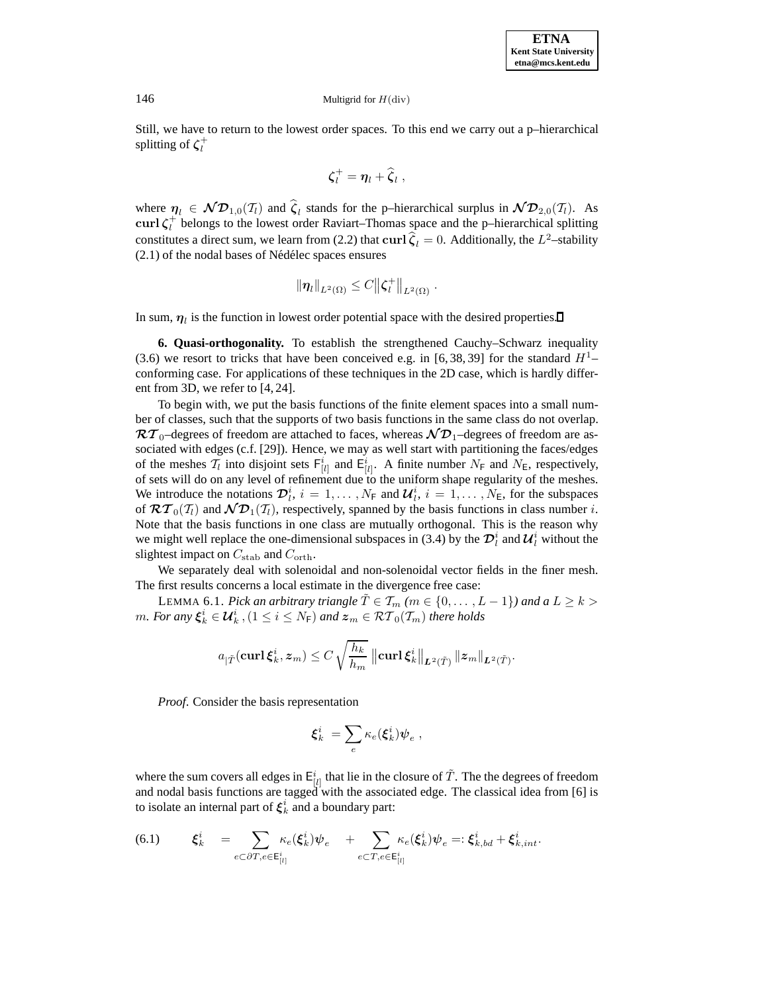Still, we have to return to the lowest order spaces. To this end we carry out a p–hierarchical splitting of *ζ*<sup>+</sup> l

$$
\boldsymbol{\zeta}_l^+ = \boldsymbol{\eta}_l + \boldsymbol{\widehat{\zeta}}_l \ ,
$$

where  $\eta_l \in \mathcal{ND}_{1,0}(\mathcal{T}_l)$  and  $\hat{\zeta}_l$  stands for the p–hierarchical surplus in  $\mathcal{ND}_{2,0}(\mathcal{T}_l)$ . As **curl**  $\zeta_i^+$  belongs to the lowest order Raviart–Thomas space and the p–hierarchical splitting constitutes a direct sum, we learn from (2.2) that **curl**  $\hat{\zeta}_l = 0$ . Additionally, the  $L^2$ -stability  $(2.1)$  of the nodal bases of Nédélec spaces ensures

$$
\|\pmb{\eta}_l\|_{L^2(\Omega)} \leq C \|\pmb{\zeta}_l^+\|_{L^2(\Omega)}.
$$

In sum,  $\eta_l$  is the function in lowest order potential space with the desired properties.

**6. Quasi-orthogonality.** To establish the strengthened Cauchy–Schwarz inequality (3.6) we resort to tricks that have been conceived e.g. in [6, 38, 39] for the standard  $H<sup>1</sup>$ conforming case. For applications of these techniques in the 2D case, which is hardly different from 3D, we refer to [4, 24].

To begin with, we put the basis functions of the finite element spaces into a small number of classes, such that the supports of two basis functions in the same class do not overlap.  $\mathcal{RT}_0$ –degrees of freedom are attached to faces, whereas  $\mathcal{ND}_1$ –degrees of freedom are associated with edges (c.f. [29]). Hence, we may as well start with partitioning the faces/edges of the meshes  $T_l$  into disjoint sets  $F^i_{[l]}$  and  $E^i_{[l]}$ . A finite number  $N_F$  and  $N_E$ , respectively, of sets will do on any level of refinement due to the uniform shape regularity of the meshes. We introduce the notations  $\mathcal{D}_l^i$ ,  $i = 1, \ldots, N_F$  and  $\mathcal{U}_l^i$ ,  $i = 1, \ldots, N_E$ , for the subspaces of  $\mathcal{RT}_0(\mathcal{T}_l)$  and  $\mathcal{ND}_1(\mathcal{T}_l)$ , respectively, spanned by the basis functions in class number i. Note that the basis functions in one class are mutually orthogonal. This is the reason why we might well replace the one-dimensional subspaces in (3.4) by the  $\mathcal{D}_l^i$  and  $\mathcal{U}_l^i$  without the slightest impact on  $C_{\text{stab}}$  and  $C_{\text{orth}}$ .

We separately deal with solenoidal and non-solenoidal vector fields in the finer mesh. The first results concerns a local estimate in the divergence free case:

LEMMA 6.1. *Pick an arbitrary triangle*  $\tilde{T} \in \mathcal{T}_m$  *(m \iii {0},..., L - 1}) and a*  $L \geq k$ *m.* For any  $\xi_k^i \in \mathcal{U}_k^i$ ,  $(1 \leq i \leq N_{\text{F}})$  and  $z_m \in \mathcal{RT}_0(\mathcal{T}_m)$  there holds

$$
a_{|\tilde{T}}(\operatorname{curl} \boldsymbol{\xi}_k^i, \boldsymbol{z}_m) \leq C \, \sqrt{\frac{h_k}{h_m}} \, \left\| \operatorname{curl} \boldsymbol{\xi}_k^i \right\|_{\boldsymbol{L}^2(\tilde{T})} \|\boldsymbol{z}_m\|_{\boldsymbol{L}^2(\tilde{T})}.
$$

*Proof*. Consider the basis representation

$$
\pmb{\xi}^i_k \ = \sum_e \kappa_e(\pmb{\xi}^i_k) \pmb{\psi}_e \ ,
$$

where the sum covers all edges in  $E^i_{[l]}$  that lie in the closure of  $\tilde{T}$ . The the degrees of freedom and nodal basis functions are tagged with the associated edge. The classical idea from [6] is to isolate an internal part of  $\xi_k^i$  and a boundary part:

$$
(6.1) \quad \xi_k^i = \sum_{e \subset \partial T, e \in \mathsf{E}_{[i]}^i} \kappa_e(\xi_k^i) \psi_e + \sum_{e \subset T, e \in \mathsf{E}_{[i]}^i} \kappa_e(\xi_k^i) \psi_e =: \xi_{k, bd}^i + \xi_{k, int}^i.
$$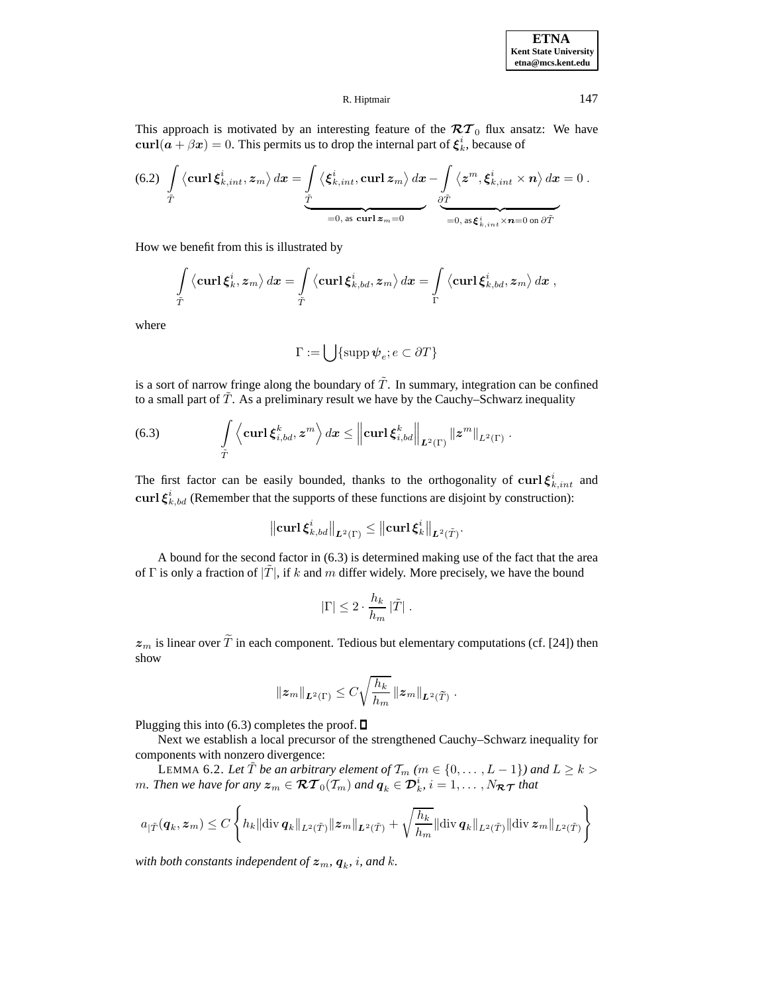

This approach is motivated by an interesting feature of the  $\mathcal{RT}_0$  flux ansatz: We have  $\text{curl}(a + \beta x) = 0$ . This permits us to drop the internal part of  $\xi_k^i$ , because of

(6.2) 
$$
\int_{\tilde{T}} \left\langle \mathbf{curl} \xi_{k,int}^{i}, z_m \right\rangle d\mathbf{x} = \underbrace{\int_{\tilde{T}} \left\langle \xi_{k,int}^{i}, \mathbf{curl} z_m \right\rangle d\mathbf{x} - \int_{\partial \tilde{T}} \left\langle z^m, \xi_{k,int}^{i} \times \mathbf{n} \right\rangle d\mathbf{x}}_{=0, \text{ as curl } z_m = 0} = 0.
$$

How we benefit from this is illustrated by

$$
\int\limits_{\tilde T} \left\langle \boldsymbol{\mathrm{curl}} \, \boldsymbol{\xi}^i_k, \boldsymbol{z}_m \right\rangle d\boldsymbol{x} = \int\limits_{\tilde T} \left\langle \boldsymbol{\mathrm{curl}} \, \boldsymbol{\xi}^i_{k, bd}, \boldsymbol{z}_m \right\rangle d\boldsymbol{x} = \int\limits_{\Gamma} \left\langle \boldsymbol{\mathrm{curl}} \, \boldsymbol{\xi}^i_{k, bd}, \boldsymbol{z}_m \right\rangle d\boldsymbol{x},
$$

where

$$
\Gamma:=\bigcup\{\operatorname{supp}{\boldsymbol\psi}_e;e\subset\partial T\}
$$

is a sort of narrow fringe along the boundary of  $\tilde{T}$ . In summary, integration can be confined to a small part of  $\tilde{T}$ . As a preliminary result we have by the Cauchy–Schwarz inequality

$$
(6.3) \qquad \int\limits_{\tilde T} \left\langle {\bf curl\,}\boldsymbol{\xi}_{i,bd}^k, \boldsymbol{z}^m\right\rangle d\boldsymbol{x}\leq \left\|{\bf curl\,}\boldsymbol{\xi}_{i,bd}^k\right\|_{\boldsymbol{L}^2(\Gamma)} \left\|\boldsymbol{z}^m\right\|_{L^2(\Gamma)}.
$$

The first factor can be easily bounded, thanks to the orthogonality of  $\text{curl } \xi_{k,int}^i$  and **curl**  $\xi_{k,bd}^{i}$  (Remember that the supports of these functions are disjoint by construction):

$$
\left\|\operatorname{curl} \pmb{\xi}_{k,bd}^i\right\|_{\boldsymbol{L}^2(\Gamma)}\leq \left\|\operatorname{curl} \pmb{\xi}_k^i\right\|_{\boldsymbol{L}^2(\tilde{T})}.
$$

A bound for the second factor in (6.3) is determined making use of the fact that the area of  $\Gamma$  is only a fraction of  $|\dot{T}|$ , if k and m differ widely. More precisely, we have the bound

$$
|\Gamma| \leq 2 \cdot \frac{h_k}{h_m} |\tilde{T}| \; .
$$

 $z_m$  is linear over  $\widetilde{T}$  in each component. Tedious but elementary computations (cf. [24]) then show

$$
||z_m||_{L^2(\Gamma)} \leq C \sqrt{\frac{h_k}{h_m}} ||z_m||_{L^2(\widetilde{T})}.
$$

Plugging this into (6.3) completes the proof.  $\square$ 

Next we establish a local precursor of the strengthened Cauchy–Schwarz inequality for components with nonzero divergence:

LEMMA 6.2. Let  $\tilde{T}$  *be an arbitrary element of*  $\mathcal{T}_m$  *(m*  $\in$  {0, ...,  $L - 1$ }*) and*  $L \geq k$  > *m. Then we have for any*  $z_m \in \mathcal{RT}_0(\mathcal{T}_m)$  and  $q_k \in \mathcal{D}_k^i$ ,  $i = 1, \ldots, N_{\mathcal{RT}}$  *that* 

$$
a_{|\tilde{T}}(\boldsymbol{q}_k,\boldsymbol{z}_m) \leq C \left\{ h_k ||\text{div}\,\boldsymbol{q}_k||_{L^2(\tilde{T})} ||\boldsymbol{z}_m||_{L^2(\tilde{T})} + \sqrt{\frac{h_k}{h_m}} ||\text{div}\,\boldsymbol{q}_k||_{L^2(\tilde{T})} ||\text{div}\,\boldsymbol{z}_m||_{L^2(\tilde{T})} \right\}
$$

*with both constants independent of*  $z_m$ ,  $q_k$ , *i*, and *k*.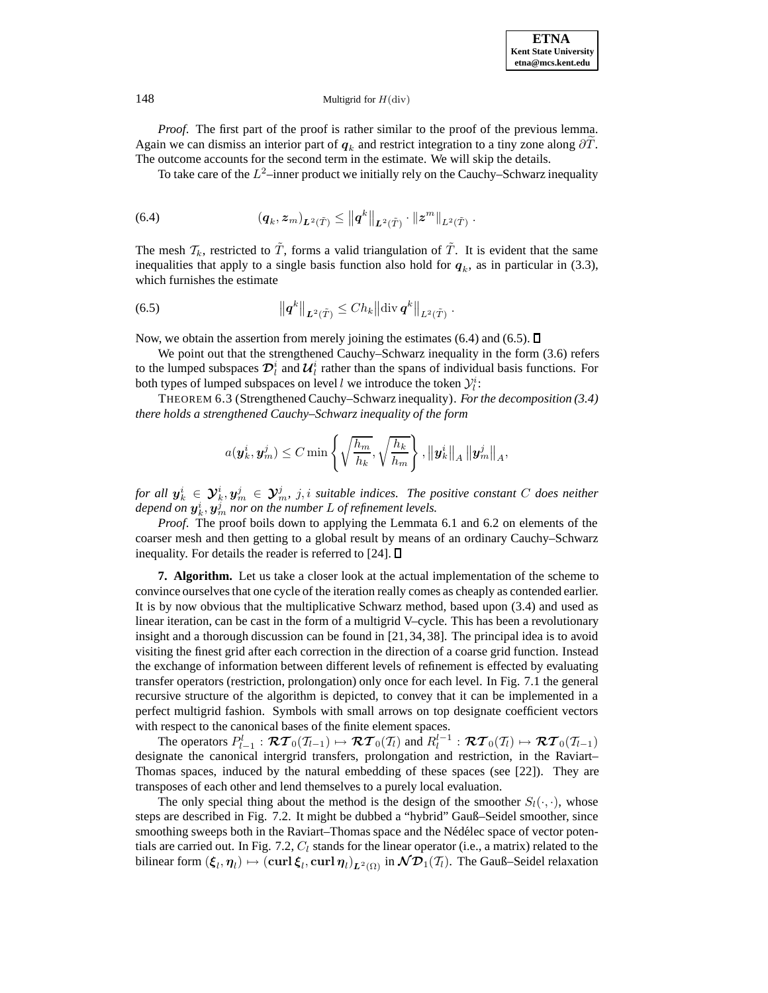*Proof.* The first part of the proof is rather similar to the proof of the previous lemma. Again we can dismiss an interior part of  $q_k$  and restrict integration to a tiny zone along  $\partial T$ . The outcome accounts for the second term in the estimate. We will skip the details.

To take care of the  $L^2$ –inner product we initially rely on the Cauchy–Schwarz inequality

$$
(6.4) \qquad \qquad (q_k,z_m)_{\scriptstyle{\boldsymbol{L}}^{\scriptstyle 2}(\tilde{T})}\leq \left\|q^k\right\|_{\scriptstyle{\boldsymbol{L}}^{\scriptstyle 2}(\tilde{T})}\cdot\left\|z^m\right\|_{\scriptstyle{\boldsymbol{L}}^{\scriptstyle 2}(\tilde{T})}.
$$

The mesh  $\mathcal{T}_k$ , restricted to  $\tilde{T}$ , forms a valid triangulation of  $\tilde{T}$ . It is evident that the same inequalities that apply to a single basis function also hold for  $q_k$ , as in particular in (3.3), which furnishes the estimate

(6.5) 
$$
\left\| \boldsymbol{q}^{k} \right\|_{\boldsymbol{L}^2(\tilde{T})} \leq C h_k \left\| \operatorname{div} \boldsymbol{q}^{k} \right\|_{\boldsymbol{L}^2(\tilde{T})}.
$$

Now, we obtain the assertion from merely joining the estimates (6.4) and (6.5).  $\Box$ 

We point out that the strengthened Cauchy–Schwarz inequality in the form  $(3.6)$  refers to the lumped subspaces  $\mathcal{D}_l^i$  and  $\mathcal{U}_l^i$  rather than the spans of individual basis functions. For both types of lumped subspaces on level l we introduce the token  $\mathcal{Y}_l^i$ :

THEOREM 6.3 (Strengthened Cauchy–Schwarz inequality). *For the decomposition (3.4) there holds a strengthened Cauchy–Schwarz inequality of the form*

$$
a(\boldsymbol{y}_{k}^{i},\boldsymbol{y}_{m}^{j})\leq C\min\left\{\sqrt{\frac{h_{m}}{h_{k}}},\sqrt{\frac{h_{k}}{h_{m}}}\right\},\left\|\boldsymbol{y}_{k}^{i}\right\|_{A}\left\|\boldsymbol{y}_{m}^{j}\right\|_{A},
$$

*for all*  $y_k^i \in Y_k^i, y_m^j \in Y_m^j$ , *j, i suitable indices. The positive constant* C *does neither* depend on  $\boldsymbol{y}_k^i, \boldsymbol{y}_m^j$  nor on the number  $L$  of refinement levels.

*Proof*. The proof boils down to applying the Lemmata 6.1 and 6.2 on elements of the coarser mesh and then getting to a global result by means of an ordinary Cauchy–Schwarz inequality. For details the reader is referred to [24].  $\Box$ 

**7. Algorithm.** Let us take a closer look at the actual implementation of the scheme to convince ourselves that one cycle of the iteration really comes as cheaply as contended earlier. It is by now obvious that the multiplicative Schwarz method, based upon (3.4) and used as linear iteration, can be cast in the form of a multigrid V–cycle. This has been a revolutionary insight and a thorough discussion can be found in [21, 34, 38]. The principal idea is to avoid visiting the finest grid after each correction in the direction of a coarse grid function. Instead the exchange of information between different levels of refinement is effected by evaluating transfer operators (restriction, prolongation) only once for each level. In Fig. 7.1 the general recursive structure of the algorithm is depicted, to convey that it can be implemented in a perfect multigrid fashion. Symbols with small arrows on top designate coefficient vectors with respect to the canonical bases of the finite element spaces.

The operators  $P_{l-1}^l : \mathcal{RT}_0(\mathcal{T}_{l-1}) \mapsto \mathcal{RT}_0(\mathcal{T}_l)$  and  $R_l^{l-1} : \mathcal{RT}_0(\mathcal{T}_l) \mapsto \mathcal{RT}_0(\mathcal{T}_{l-1})$ designate the canonical intergrid transfers, prolongation and restriction, in the Raviart– Thomas spaces, induced by the natural embedding of these spaces (see [22]). They are transposes of each other and lend themselves to a purely local evaluation.

The only special thing about the method is the design of the smoother  $S_l(\cdot, \cdot)$ , whose steps are described in Fig. 7.2. It might be dubbed a "hybrid" Gauß–Seidel smoother, since smoothing sweeps both in the Raviart–Thomas space and the Nédélec space of vector potentials are carried out. In Fig. 7.2,  $C_l$  stands for the linear operator (i.e., a matrix) related to the bilinear form  $(\xi_l, \eta_l) \mapsto (\text{curl } \xi_l, \text{curl } \eta_l)_{L^2(\Omega)}$  in  $\mathcal{ND}_1(\mathcal{T}_l)$ . The Gauß–Seidel relaxation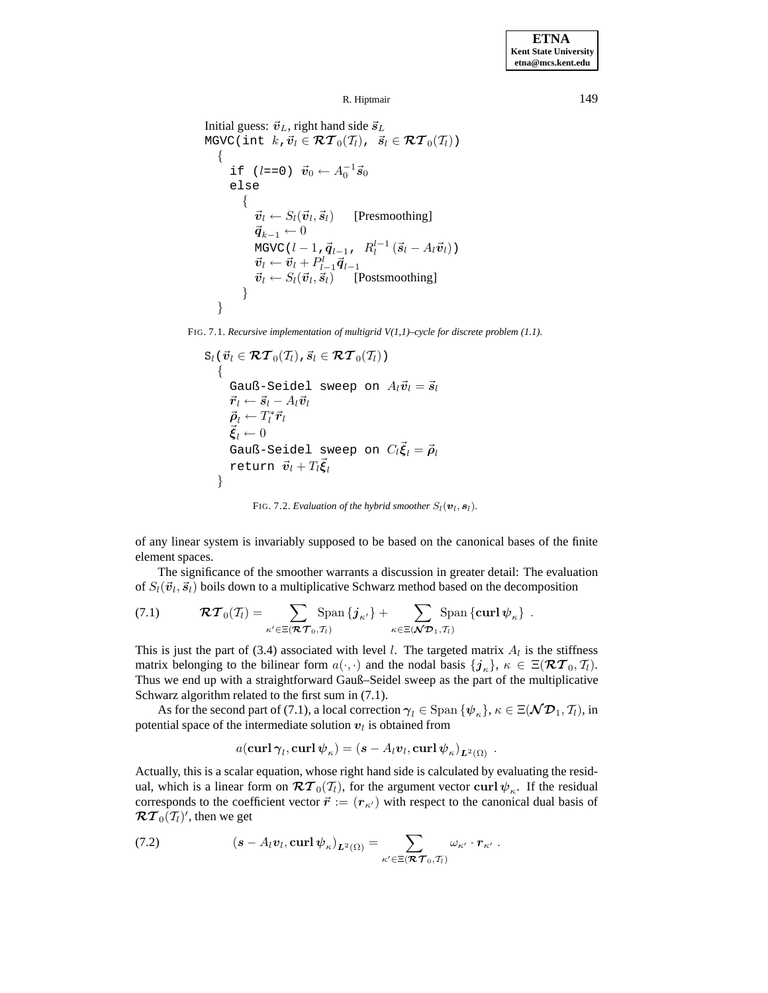```
R. Hiptmair 149
```

```
Initial guess: \vec{v}_L, right hand side \vec{s}_LMGVC(int k, \vec{v}_l \in \mathcal{RT}_0(\mathcal{T}_l), \vec{s}_l \in \mathcal{RT}_0(\mathcal{T}_l))
    {
         if (l==0) \vec{v}_0 ← A_0^{-1}\vec{s}_0else
            \{\vec{v}_l \leftarrow S_l(\vec{v}_l, \vec{s}_l) [Presmoothing]
                \vec{q}_{k-1} \leftarrow 0MGVC(l - 1,\vec{q}_{l-1}, R_l^{l-1} (\vec{s}_l - A_l \vec{v}_l))
                 \vec{v}_l \leftarrow \vec{v}_l + P_{l-1}^l \vec{q}_{l-1}\vec{v}_l \leftarrow S_l(\vec{v}_l, \vec{s}_l) [Postsmoothing]
            }
    }
```
FIG. 7.1. *Recursive implementation of multigrid V(1,1)–cycle for discrete problem (1.1).*

$$
S_l(\vec{v}_l \in \mathcal{RT}_0(T_l), \vec{s}_l \in \mathcal{RT}_0(T_l))
$$
\n{  
\n
$$
\begin{aligned}\n\text{Gauß-Seidel sweep on } A_l\vec{v}_l = \vec{s}_l \\
\vec{r}_l \leftarrow \vec{s}_l - A_l\vec{v}_l \\
\vec{\rho}_l \leftarrow T_l^* \vec{r}_l \\
\vec{\xi}_l \leftarrow 0 \\
\text{Gauß-Seidel sweep on } C_l\vec{\xi}_l = \vec{\rho}_l \\
\text{return } \vec{v}_l + T_l\vec{\xi}_l\n\end{aligned}
$$

FIG. 7.2. *Evaluation of the hybrid smoother*  $S_l(\boldsymbol{v}_l, \boldsymbol{s}_l)$ *.* 

of any linear system is invariably supposed to be based on the canonical bases of the finite element spaces.

The significance of the smoother warrants a discussion in greater detail: The evaluation of  $S_l(\vec{v}_l, \vec{s}_l)$  boils down to a multiplicative Schwarz method based on the decomposition

(7.1) 
$$
\mathcal{RT}_0(\mathcal{T}_l) = \sum_{\kappa' \in \Xi(\mathcal{RT}_0, \mathcal{T}_l)} \text{Span} \{j_{\kappa'}\} + \sum_{\kappa \in \Xi(\mathcal{NP}_1, \mathcal{T}_l)} \text{Span} \{\text{curl } \psi_{\kappa}\}.
$$

This is just the part of (3.4) associated with level l. The targeted matrix  $A<sub>l</sub>$  is the stiffness matrix belonging to the bilinear form  $a(\cdot, \cdot)$  and the nodal basis  $\{j_k\}, \kappa \in \Xi(\mathcal{RT}_0, \mathcal{T}_l)$ . Thus we end up with a straightforward Gauß–Seidel sweep as the part of the multiplicative Schwarz algorithm related to the first sum in (7.1).

As for the second part of (7.1), a local correction  $\gamma_l \in \text{Span}\{\psi_{\kappa}\}, \kappa \in \Xi(\mathcal{ND}_1, \mathcal{T}_l)$ , in potential space of the intermediate solution  $v_l$  is obtained from

$$
a(\operatorname{\mathbf{curl}}\boldsymbol{\gamma}_l,\operatorname{\mathbf{curl}}\boldsymbol{\psi}_{\kappa})=(\boldsymbol{s}-A_l\boldsymbol{v}_l,\operatorname{\mathbf{curl}}\boldsymbol{\psi}_{\kappa})_{\boldsymbol{L}^2(\Omega)}\ .
$$

Actually, this is a scalar equation, whose right hand side is calculated by evaluating the residual, which is a linear form on  $\mathcal{RT}_0(\mathcal{T}_l)$ , for the argument vector curl  $\psi_{\kappa}$ . If the residual corresponds to the coefficient vector  $\vec{r} := (r_{\kappa})$  with respect to the canonical dual basis of  $\mathcal{RT}_0(\mathcal{T}_l)'$ , then we get

(7.2) 
$$
\left(\mathbf{s} - A_l \mathbf{v}_l, \mathbf{curl} \, \boldsymbol{\psi}_{\kappa}\right)_{\mathbf{L}^2(\Omega)} = \sum_{\kappa' \in \Xi(\mathbf{R} \mathcal{T}_0, \mathcal{T}_l)} \omega_{\kappa'} \cdot \mathbf{r}_{\kappa'}.
$$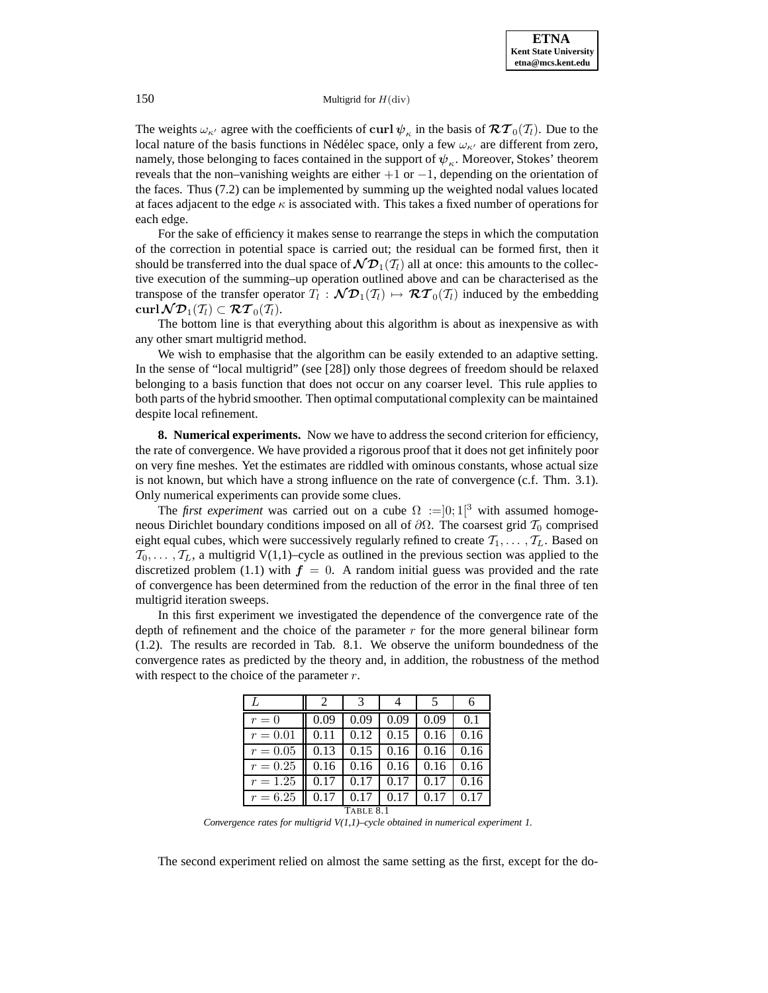The weights  $\omega_{\kappa'}$  agree with the coefficients of curl  $\psi_{\kappa}$  in the basis of  $\mathcal{RT}_0(\mathcal{T}_l)$ . Due to the local nature of the basis functions in Nédélec space, only a few  $\omega_{\kappa'}$  are different from zero, namely, those belonging to faces contained in the support of  $\psi_{\kappa}$ . Moreover, Stokes' theorem reveals that the non–vanishing weights are either  $+1$  or  $-1$ , depending on the orientation of the faces. Thus (7.2) can be implemented by summing up the weighted nodal values located at faces adjacent to the edge  $\kappa$  is associated with. This takes a fixed number of operations for each edge.

For the sake of efficiency it makes sense to rearrange the steps in which the computation of the correction in potential space is carried out; the residual can be formed first, then it should be transferred into the dual space of  $\mathcal{ND}_1(\mathcal{T}_l)$  all at once: this amounts to the collective execution of the summing–up operation outlined above and can be characterised as the transpose of the transfer operator  $T_l : \mathcal{ND}_1(T_l) \mapsto \mathcal{RT}_0(T_l)$  induced by the embedding  $\mathbf{curl}\,\mathcal{N}\mathcal{D}_1(\mathcal{T}_l)\subset \mathcal{RT}_0(\mathcal{T}_l).$ 

The bottom line is that everything about this algorithm is about as inexpensive as with any other smart multigrid method.

We wish to emphasise that the algorithm can be easily extended to an adaptive setting. In the sense of "local multigrid" (see [28]) only those degrees of freedom should be relaxed belonging to a basis function that does not occur on any coarser level. This rule applies to both parts of the hybrid smoother. Then optimal computational complexity can be maintained despite local refinement.

**8. Numerical experiments.** Now we have to address the second criterion for efficiency, the rate of convergence. We have provided a rigorous proof that it does not get infinitely poor on very fine meshes. Yet the estimates are riddled with ominous constants, whose actual size is not known, but which have a strong influence on the rate of convergence (c.f. Thm. 3.1). Only numerical experiments can provide some clues.

The *first experiment* was carried out on a cube  $\Omega :=]0;1[^3$  with assumed homogeneous Dirichlet boundary conditions imposed on all of  $\partial\Omega$ . The coarsest grid  $\mathcal{T}_0$  comprised eight equal cubes, which were successively regularly refined to create  $\mathcal{T}_1,\ldots,\mathcal{T}_L$ . Based on  $\mathcal{T}_0,\ldots,\mathcal{T}_L$ , a multigrid V(1,1)–cycle as outlined in the previous section was applied to the discretized problem (1.1) with  $f = 0$ . A random initial guess was provided and the rate of convergence has been determined from the reduction of the error in the final three of ten multigrid iteration sweeps.

In this first experiment we investigated the dependence of the convergence rate of the depth of refinement and the choice of the parameter  $r$  for the more general bilinear form (1.2). The results are recorded in Tab. 8.1. We observe the uniform boundedness of the convergence rates as predicted by the theory and, in addition, the robustness of the method with respect to the choice of the parameter  $r$ .

| L          | $\mathcal{D}$ |      |      |      |      |  |
|------------|---------------|------|------|------|------|--|
| $r = 0$    | 0.09          | 0.09 | 0.09 | 0.09 | 0.1  |  |
| $r = 0.01$ |               | 0.12 | 0.15 | 0.16 | 0.16 |  |
| $r = 0.05$ | 0.13          | 0.15 | 0.16 | 0.16 | 0.16 |  |
| $r = 0.25$ | 0.16          | 0.16 | 0.16 | 0.16 | 0.16 |  |
| $r = 1.25$ | 0.17          | 0.17 | 0.17 | 0.17 | 0.16 |  |
| $r = 6.25$ |               | 0.17 | 0.17 | 0.17 | 0.17 |  |
| TABLE 8.1  |               |      |      |      |      |  |

*Convergence rates for multigrid V(1,1)–cycle obtained in numerical experiment 1.*

The second experiment relied on almost the same setting as the first, except for the do-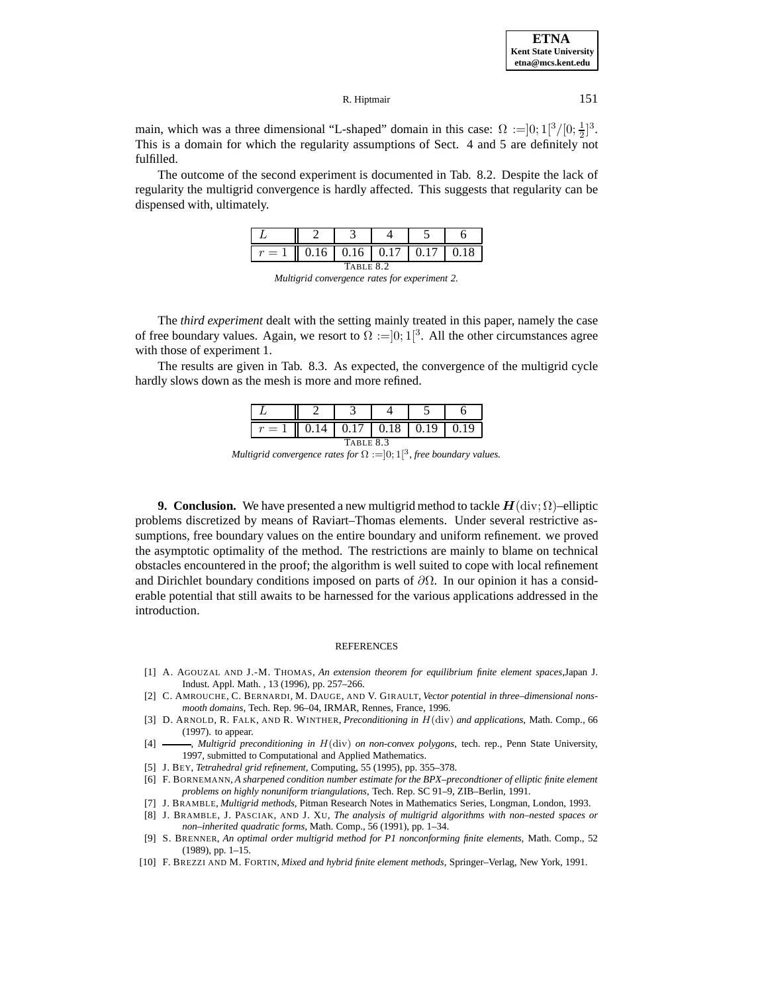| <b>ETNA</b>                  |
|------------------------------|
| <b>Kent State University</b> |
| etna@mcs.kent.edu            |

main, which was a three dimensional "L-shaped" domain in this case:  $\Omega :=] 0; 1[^3/[0; \frac{1}{2}]^3$ . This is a domain for which the regularity assumptions of Sect. 4 and 5 are definitely not fulfilled.

The outcome of the second experiment is documented in Tab. 8.2. Despite the lack of regularity the multigrid convergence is hardly affected. This suggests that regularity can be dispensed with, ultimately.

|           |  |  | $0.16$   $0.16$   $0.17$   $0.17$ |  | 0.18 |  |
|-----------|--|--|-----------------------------------|--|------|--|
| TABLE 8.2 |  |  |                                   |  |      |  |



The *third experiment* dealt with the setting mainly treated in this paper, namely the case of free boundary values. Again, we resort to  $\Omega := ]0;1[^3$ . All the other circumstances agree with those of experiment 1.

The results are given in Tab. 8.3. As expected, the convergence of the multigrid cycle hardly slows down as the mesh is more and more refined.

| $\sim$    |  |  | $0.17 \pm 0.18$ | 0.19 | 0.19 |
|-----------|--|--|-----------------|------|------|
| TABLE 8.3 |  |  |                 |      |      |

*Multigrid convergence rates for*  $\Omega := ]0;1[^3$ *, free boundary values.* 

**9. Conclusion.** We have presented a new multigrid method to tackle  $H(\text{div}; \Omega)$ –elliptic problems discretized by means of Raviart–Thomas elements. Under several restrictive assumptions, free boundary values on the entire boundary and uniform refinement. we proved the asymptotic optimality of the method. The restrictions are mainly to blame on technical obstacles encountered in the proof; the algorithm is well suited to cope with local refinement and Dirichlet boundary conditions imposed on parts of  $\partial\Omega$ . In our opinion it has a considerable potential that still awaits to be harnessed for the various applications addressed in the introduction.

#### **REFERENCES**

- [1] A. AGOUZAL AND J.-M. THOMAS, *An extension theorem for equilibrium finite element spaces*,Japan J. Indust. Appl. Math. , 13 (1996), pp. 257–266.
- [2] C. AMROUCHE, C. BERNARDI, M. DAUGE, AND V. GIRAULT, *Vector potential in three–dimensional nonsmooth domains*, Tech. Rep. 96–04, IRMAR, Rennes, France, 1996.
- [3] D. ARNOLD, R. FALK, AND R. WINTHER, *Preconditioning in* H(div) *and applications*, Math. Comp., 66 (1997). to appear.
- [4] , *Multigrid preconditioning in* H(div) *on non-convex polygons*, tech. rep., Penn State University, 1997, submitted to Computational and Applied Mathematics.
- [5] J. BEY, *Tetrahedral grid refinement*, Computing, 55 (1995), pp. 355–378.
- [6] F. BORNEMANN, *A sharpened condition number estimate for the BPX–precondtioner of elliptic finite element problems on highly nonuniform triangulations*, Tech. Rep. SC 91–9, ZIB–Berlin, 1991.
- [7] J. BRAMBLE, *Multigrid methods*, Pitman Research Notes in Mathematics Series, Longman, London, 1993.
- [8] J. BRAMBLE, J. PASCIAK, AND J. XU, *The analysis of multigrid algorithms with non–nested spaces or non–inherited quadratic forms*, Math. Comp., 56 (1991), pp. 1–34.
- [9] S. BRENNER, *An optimal order multigrid method for P1 nonconforming finite elements*, Math. Comp., 52 (1989), pp. 1–15.
- [10] F. BREZZI AND M. FORTIN, *Mixed and hybrid finite element methods*, Springer–Verlag, New York, 1991.